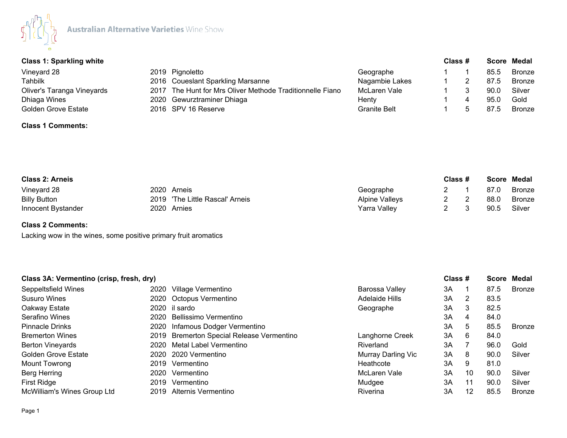

## **Class 1: Sparkling white Class # Score Medal**

| 2019 Pignoletto                                           | Geographe           |  | 85.5 | Bronze |
|-----------------------------------------------------------|---------------------|--|------|--------|
| 2016 Coueslant Sparkling Marsanne                         | Nagambie Lakes      |  | 87.5 | Bronze |
| 2017 The Hunt for Mrs Oliver Methode Traditionnelle Fiano | McLaren Vale        |  | 90.0 | Silver |
| 2020 Gewurztraminer Dhiaga                                | Henty               |  | 95.C | Gold   |
| 2016 SPV 16 Reserve                                       | <b>Granite Belt</b> |  | 87.5 | Bronze |
|                                                           |                     |  |      |        |

# **Class 1 Comments:**

| <b>Class 2: Arneis</b> |                                 | Class #               |  |  | Score Medal |               |
|------------------------|---------------------------------|-----------------------|--|--|-------------|---------------|
| Vineyard 28            | 2020 Arneis                     | Geographe             |  |  | 87.0        | <b>Bronze</b> |
| <b>Billy Button</b>    | 2019 'The Little Rascal' Arneis | <b>Alpine Valleys</b> |  |  | 88.0        | <b>Bronze</b> |
| Innocent Bystander     | 2020 Arnies                     | Yarra Vallev          |  |  | 90.5        | Silver        |

## **Class 2 Comments:**

Lacking wow in the wines, some positive primary fruit aromatics

| Class 3A: Vermentino (crisp, fresh, dry) |                                           |                    | Class # |    |      | <b>Score Medal</b> |
|------------------------------------------|-------------------------------------------|--------------------|---------|----|------|--------------------|
| Seppeltsfield Wines                      | 2020 Village Vermentino                   | Barossa Valley     | 3A      |    | 87.5 | <b>Bronze</b>      |
| <b>Susuro Wines</b>                      | 2020 Octopus Vermentino                   | Adelaide Hills     | ЗA      | 2  | 83.5 |                    |
| Oakway Estate                            | 2020 il sardo                             | Geographe          | 3A      | 3  | 82.5 |                    |
| Serafino Wines                           | 2020 Bellissimo Vermentino                |                    | 3A      | 4  | 84.0 |                    |
| <b>Pinnacle Drinks</b>                   | 2020 Infamous Dodger Vermentino           |                    | 3A      | 5  | 85.5 | <b>Bronze</b>      |
| <b>Bremerton Wines</b>                   | 2019 Bremerton Special Release Vermentino | Langhorne Creek    | 3A      | 6  | 84.0 |                    |
| <b>Berton Vineyards</b>                  | 2020 Metal Label Vermentino               | Riverland          | 3A      |    | 96.0 | Gold               |
| <b>Golden Grove Estate</b>               | 2020 2020 Vermentino                      | Murray Darling Vic | 3A      | 8  | 90.0 | Silver             |
| Mount Towrong                            | 2019 Vermentino                           | Heathcote          | 3A      | 9  | 81.0 |                    |
| Berg Herring                             | 2020 Vermentino                           | McLaren Vale       | 3A      | 10 | 90.0 | Silver             |
| First Ridge                              | 2019 Vermentino                           | Mudgee             | ЗA      | 11 | 90.0 | Silver             |
| <b>McWilliam's Wines Group Ltd</b>       | 2019 Alternis Vermentino                  | Riverina           | ЗA      | 12 | 85.5 | Bronze             |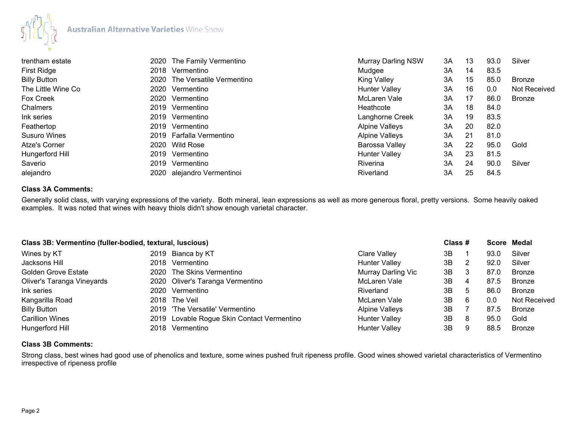

| trentham estate         | 2020 The Family Vermentino    | <b>Murray Darling NSW</b> | 3A | 13  | 93.0 | Silver              |
|-------------------------|-------------------------------|---------------------------|----|-----|------|---------------------|
| First Ridge<br>2018     | Vermentino                    | Mudgee                    | 3A | 14  | 83.5 |                     |
| <b>Billy Button</b>     | 2020 The Versatile Vermentino | King Valley               | 3A | 15  | 85.0 | <b>Bronze</b>       |
| The Little Wine Co      | 2020 Vermentino               | <b>Hunter Valley</b>      | 3A | 16  | 0.0  | <b>Not Received</b> |
| Fox Creek<br>2020       | Vermentino                    | McLaren Vale              | 3A | 17  | 86.0 | Bronze              |
| Chalmers<br>2019        | Vermentino                    | Heathcote                 | 3A | 18  | 84.0 |                     |
| Ink series              | 2019 Vermentino               | Langhorne Creek           | 3A | 19  | 83.5 |                     |
| Feathertop<br>2019      | Vermentino                    | <b>Alpine Valleys</b>     | 3A | 20  | 82.0 |                     |
| <b>Susuro Wines</b>     | 2019 Farfalla Vermentino      | <b>Alpine Valleys</b>     | 3A | -21 | 81.0 |                     |
| <b>Atze's Corner</b>    | 2020 Wild Rose                | Barossa Valley            | 3A | 22  | 95.0 | Gold                |
| Hungerford Hill<br>2019 | Vermentino                    | <b>Hunter Valley</b>      | 3A | 23  | 81.5 |                     |
| Saverio<br>2019         | Vermentino                    | Riverina                  | 3A | 24  | 90.0 | Silver              |
| alejandro<br>2020       | alejandro Vermentinoi         | Riverland                 | 3A | 25  | 84.5 |                     |

#### **Class 3A Comments:**

Generally solid class, with varying expressions of the variety. Both mineral, lean expressions as well as more generous floral, pretty versions. Some heavily oaked examples. It was noted that wines with heavy thiols didn't show enough varietal character.

| Class 3B: Vermentino (fuller-bodied, textural, luscious) |                                            |                       | Class # |    | Score Medal |              |
|----------------------------------------------------------|--------------------------------------------|-----------------------|---------|----|-------------|--------------|
| Wines by KT                                              | 2019 Bianca by KT                          | Clare Valley          | 3B      |    | 93.0        | Silver       |
| Jacksons Hill                                            | 2018 Vermentino                            | <b>Hunter Valley</b>  | 3B      | 2  | 92.0        | Silver       |
| <b>Golden Grove Estate</b>                               | 2020 The Skins Vermentino                  | Murray Darling Vic    | 3B      | 3  | 87.0        | Bronze       |
| Oliver's Taranga Vineyards                               | 2020 Oliver's Taranga Vermentino           | McLaren Vale          | 3B      | 4  | 87.5        | Bronze       |
| Ink series                                               | 2020 Vermentino                            | Riverland             | 3B      | -5 | 86.0        | Bronze       |
| Kangarilla Road                                          | 2018 The Veil                              | McLaren Vale          | 3B      | 6  | 0.0         | Not Received |
| <b>Billy Button</b>                                      | 2019 'The Versatile' Vermentino            | <b>Alpine Valleys</b> | 3B      |    | 87.5        | Bronze       |
| <b>Carillion Wines</b>                                   | 2019 Lovable Rogue Skin Contact Vermentino | <b>Hunter Valley</b>  | 3B      | 8  | 95.0        | Gold         |
| Hungerford Hill                                          | 2018 Vermentino                            | <b>Hunter Valley</b>  | 3B      | 9  | 88.5        | Bronze       |

## **Class 3B Comments:**

Strong class, best wines had good use of phenolics and texture, some wines pushed fruit ripeness profile. Good wines showed varietal characteristics of Vermentino irrespective of ripeness profile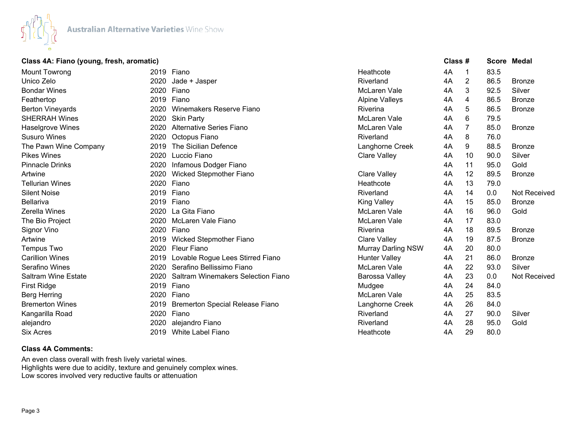

#### **Class 4A: Fiano (young, fresh, aromatic) Class # Score Medal**

| Mount Towrong              | 2019 | Fiano                                  | Heathcote                 | 4A | 1              | 83.5 |                     |
|----------------------------|------|----------------------------------------|---------------------------|----|----------------|------|---------------------|
| Unico Zelo                 | 2020 | Jade + Jasper                          | Riverland                 | 4A | $\overline{2}$ | 86.5 | <b>Bronze</b>       |
| <b>Bondar Wines</b>        | 2020 | Fiano                                  | McLaren Vale              | 4A | 3              | 92.5 | Silver              |
| Feathertop                 | 2019 | Fiano                                  | <b>Alpine Valleys</b>     | 4A | 4              | 86.5 | <b>Bronze</b>       |
| <b>Berton Vineyards</b>    | 2020 | Winemakers Reserve Fiano               | Riverina                  | 4A | 5              | 86.5 | <b>Bronze</b>       |
| <b>SHERRAH Wines</b>       | 2020 | <b>Skin Party</b>                      | McLaren Vale              | 4A | 6              | 79.5 |                     |
| Haselgrove Wines           | 2020 | Alternative Series Fiano               | McLaren Vale              | 4A | 7              | 85.0 | <b>Bronze</b>       |
| <b>Susuro Wines</b>        | 2020 | Octopus Fiano                          | Riverland                 | 4A | 8              | 76.0 |                     |
| The Pawn Wine Company      | 2019 | The Sicilian Defence                   | Langhorne Creek           | 4A | 9              | 88.5 | <b>Bronze</b>       |
| <b>Pikes Wines</b>         | 2020 | Luccio Fiano                           | <b>Clare Valley</b>       | 4A | 10             | 90.0 | Silver              |
| <b>Pinnacle Drinks</b>     | 2020 | Infamous Dodger Fiano                  |                           | 4A | 11             | 95.0 | Gold                |
| Artwine                    | 2020 | Wicked Stepmother Fiano                | <b>Clare Valley</b>       | 4A | 12             | 89.5 | <b>Bronze</b>       |
| <b>Tellurian Wines</b>     | 2020 | Fiano                                  | Heathcote                 | 4A | 13             | 79.0 |                     |
| <b>Silent Noise</b>        | 2019 | Fiano                                  | Riverland                 | 4A | 14             | 0.0  | <b>Not Received</b> |
| <b>Bellariva</b>           | 2019 | Fiano                                  | <b>King Valley</b>        | 4A | 15             | 85.0 | <b>Bronze</b>       |
| Zerella Wines              | 2020 | La Gita Fiano                          | McLaren Vale              | 4A | 16             | 96.0 | Gold                |
| The Bio Project            | 2020 | McLaren Vale Fiano                     | McLaren Vale              | 4A | 17             | 83.0 |                     |
| Signor Vino                | 2020 | Fiano                                  | Riverina                  | 4A | 18             | 89.5 | <b>Bronze</b>       |
| Artwine                    | 2019 | <b>Wicked Stepmother Fiano</b>         | <b>Clare Valley</b>       | 4A | 19             | 87.5 | <b>Bronze</b>       |
| <b>Tempus Two</b>          | 2020 | <b>Fleur Fiano</b>                     | <b>Murray Darling NSW</b> | 4A | 20             | 80.0 |                     |
| <b>Carillion Wines</b>     | 2019 | Lovable Rogue Lees Stirred Fiano       | <b>Hunter Valley</b>      | 4A | 21             | 86.0 | <b>Bronze</b>       |
| Serafino Wines             | 2020 | Serafino Bellissimo Fiano              | McLaren Vale              | 4A | 22             | 93.0 | Silver              |
| <b>Saltram Wine Estate</b> | 2020 | Saltram Winemakers Selection Fiano     | Barossa Valley            | 4A | 23             | 0.0  | <b>Not Received</b> |
| <b>First Ridge</b>         | 2019 | Fiano                                  | Mudgee                    | 4A | 24             | 84.0 |                     |
| <b>Berg Herring</b>        | 2020 | Fiano                                  | McLaren Vale              | 4A | 25             | 83.5 |                     |
| <b>Bremerton Wines</b>     | 2019 | <b>Bremerton Special Release Fiano</b> | Langhorne Creek           | 4A | 26             | 84.0 |                     |
| Kangarilla Road            | 2020 | Fiano                                  | Riverland                 | 4A | 27             | 90.0 | Silver              |
| alejandro                  | 2020 | alejandro Fiano                        | Riverland                 | 4A | 28             | 95.0 | Gold                |
| <b>Six Acres</b>           | 2019 | White Label Fiano                      | Heathcote                 | 4A | 29             | 80.0 |                     |

#### **Class 4A Comments:**

An even class overall with fresh lively varietal wines. Highlights were due to acidity, texture and genuinely complex wines. Low scores involved very reductive faults or attenuation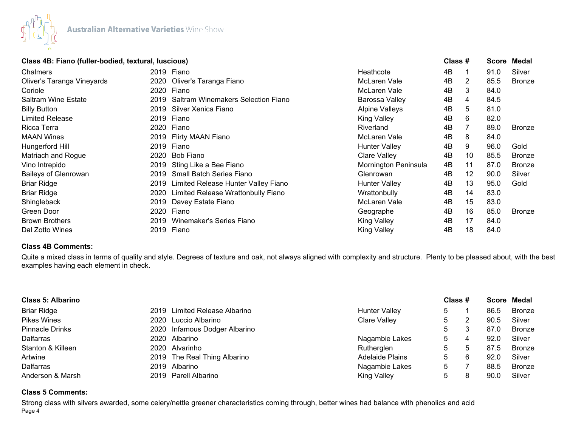

# **Class 4B: Fiano (fuller-bodied, textural, luscious) Class # Score Medal**

| Chalmers                    |      | 2019 Fiano                          | Heathcote             | 4B |    | 91.0 | Silver        |
|-----------------------------|------|-------------------------------------|-----------------------|----|----|------|---------------|
| Oliver's Taranga Vineyards  |      | 2020 Oliver's Taranga Fiano         | McLaren Vale          | 4B | 2  | 85.5 | <b>Bronze</b> |
| Coriole                     | 2020 | Fiano                               | McLaren Vale          | 4B | 3  | 84.0 |               |
| <b>Saltram Wine Estate</b>  | 2019 | Saltram Winemakers Selection Fiano  | Barossa Valley        | 4B | 4  | 84.5 |               |
| <b>Billy Button</b>         | 2019 | Silver Xenica Fiano                 | <b>Alpine Valleys</b> | 4B | 5  | 81.0 |               |
| Limited Release             |      | 2019 Fiano                          | <b>King Valley</b>    | 4B | 6  | 82.0 |               |
| Ricca Terra                 |      | 2020 Fiano                          | Riverland             | 4B |    | 89.0 | <b>Bronze</b> |
| <b>MAAN Wines</b>           |      | 2019 Flirty MAAN Fiano              | McLaren Vale          | 4B | 8  | 84.0 |               |
| Hungerford Hill             |      | 2019 Fiano                          | <b>Hunter Valley</b>  | 4B | 9  | 96.0 | Gold          |
| Matriach and Rogue          | 2020 | Bob Fiano                           | <b>Clare Valley</b>   | 4B | 10 | 85.5 | <b>Bronze</b> |
| Vino Intrepido              | 2019 | Sting Like a Bee Fiano              | Mornington Peninsula  | 4B | 11 | 87.0 | <b>Bronze</b> |
| <b>Baileys of Glenrowan</b> | 2019 | <b>Small Batch Series Fiano</b>     | Glenrowan             | 4B | 12 | 90.0 | Silver        |
| <b>Briar Ridge</b>          | 2019 | Limited Release Hunter Valley Fiano | <b>Hunter Valley</b>  | 4B | 13 | 95.0 | Gold          |
| <b>Briar Ridge</b>          | 2020 | Limited Release Wrattonbully Fiano  | Wrattonbully          | 4B | 14 | 83.0 |               |
| Shingleback                 | 2019 | Davey Estate Fiano                  | McLaren Vale          | 4B | 15 | 83.0 |               |
| Green Door                  | 2020 | Fiano                               | Geographe             | 4B | 16 | 85.0 | Bronze        |
| <b>Brown Brothers</b>       | 2019 | Winemaker's Series Fiano            | <b>King Valley</b>    | 4B | 17 | 84.0 |               |
| Dal Zotto Wines             |      | 2019 Fiano                          | <b>King Valley</b>    | 4B | 18 | 84.0 |               |
|                             |      |                                     |                       |    |    |      |               |

#### **Class 4B Comments:**

Quite a mixed class in terms of quality and style. Degrees of texture and oak, not always aligned with complexity and structure. Plenty to be pleased about, with the best examples having each element in check.

| <b>Class 5: Albarino</b> |  |                               |                        | Class # |             |      | Score Medal |  |
|--------------------------|--|-------------------------------|------------------------|---------|-------------|------|-------------|--|
| <b>Briar Ridge</b>       |  | 2019 Limited Release Albarino | <b>Hunter Valley</b>   | 5       |             | 86.5 | Bronze      |  |
| <b>Pikes Wines</b>       |  | 2020 Luccio Albarino          | <b>Clare Valley</b>    | 5.      |             | 90.5 | Silver      |  |
| Pinnacle Drinks          |  | 2020 Infamous Dodger Albarino |                        | 5       |             | 87.0 | Bronze      |  |
| Dalfarras                |  | 2020 Albarino                 | Nagambie Lakes         | 5       | 4           | 92.0 | Silver      |  |
| Stanton & Killeen        |  | 2020 Alvarinho                | Rutherglen             | 5.      | $5^{\circ}$ | 87.5 | Bronze      |  |
| Artwine                  |  | 2019 The Real Thing Albarino  | <b>Adelaide Plains</b> | 5       | 6           | 92.0 | Silver      |  |
| <b>Dalfarras</b>         |  | 2019 Albarino                 | Nagambie Lakes         | 5       |             | 88.5 | Bronze      |  |
| Anderson & Marsh         |  | 2019 Parell Albarino          | <b>King Valley</b>     | 5       | 8           | 90.0 | Silver      |  |

## **Class 5 Comments:**

Page 4 Strong class with silvers awarded, some celery/nettle greener characteristics coming through, better wines had balance with phenolics and acid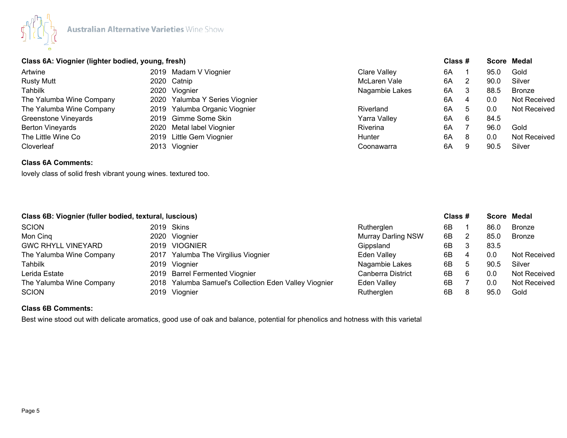

# **Class 6A: Viognier (lighter bodied, young, fresh) Class # Score Medal**

| Artwine                     | 2019 Madam V Viognier          | <b>Clare Valley</b> | 6A |     | 95.0 | Gold          |
|-----------------------------|--------------------------------|---------------------|----|-----|------|---------------|
| <b>Rusty Mutt</b>           | 2020 Catnip                    | McLaren Vale        | 6A |     | 90.0 | Silver        |
| Tahbilk                     | 2020 Viognier                  | Nagambie Lakes      | 6A | 3   | 88.5 | <b>Bronze</b> |
| The Yalumba Wine Company    | 2020 Yalumba Y Series Viognier |                     | 6A | 4   | 0.0  | Not Received  |
| The Yalumba Wine Company    | 2019 Yalumba Organic Viognier  | Riverland           | 6A | . ხ | 0.0  | Not Received  |
| <b>Greenstone Vineyards</b> | 2019 Gimme Some Skin           | Yarra Valley        | 6A | 6   | 84.5 |               |
| <b>Berton Vineyards</b>     | 2020 Metal label Viognier      | Riverina            | 6A |     | 96.0 | Gold          |
| The Little Wine Co          | 2019 Little Gem Viognier       | Hunter              | 6A | 8   | 0.0  | Not Received  |
| Cloverleaf                  | 2013 Viognier                  | Coonawarra          | 6A | 9   | 90.5 | Silver        |
|                             |                                |                     |    |     |      |               |

# **Class 6A Comments:**

lovely class of solid fresh vibrant young wines. textured too.

|                           | Class 6B: Viognier (fuller bodied, textural, luscious) |                                                       |                           | Class # |   |      | Score Medal   |
|---------------------------|--------------------------------------------------------|-------------------------------------------------------|---------------------------|---------|---|------|---------------|
| <b>SCION</b>              |                                                        | 2019 Skins                                            | Rutherglen                | 6B      |   | 86.0 | <b>Bronze</b> |
| Mon Cinq                  |                                                        | 2020 Viognier                                         | <b>Murray Darling NSW</b> | 6B      |   | 85.0 | Bronze        |
| <b>GWC RHYLL VINEYARD</b> |                                                        | 2019 VIOGNIER                                         | Gippsland                 | 6B      |   | 83.5 |               |
| The Yalumba Wine Company  |                                                        | 2017 Yalumba The Virgilius Viognier                   | Eden Valley               | 6B      | 4 | 0.0  | Not Received  |
| Tahbilk                   |                                                        | 2019 Viognier                                         | Nagambie Lakes            | 6B      | 5 | 90.5 | Silver        |
| Lerida Estate             |                                                        | 2019 Barrel Fermented Viognier                        | Canberra District         | 6B      |   | 0.0  | Not Received  |
| The Yalumba Wine Company  |                                                        | 2018 Yalumba Samuel's Collection Eden Valley Viognier | <b>Eden Valley</b>        | 6B      |   | 0.0  | Not Received  |
| <b>SCION</b>              |                                                        | 2019 Viognier                                         | Rutherglen                | 6B      |   | 95.0 | Gold          |

## **Class 6B Comments:**

Best wine stood out with delicate aromatics, good use of oak and balance, potential for phenolics and hotness with this varietal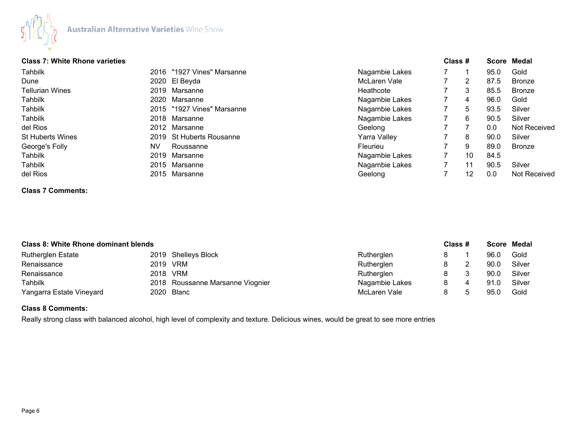

## **Class 7: White Rhone varieties Class # Score Medal**

| VIUJJ I I VIIIILG INIUIIG VUIIGLIGJ |      |                            |                | $\mathsf{v}$ iuji $\pi$ |      | OUVIU MUUU          |
|-------------------------------------|------|----------------------------|----------------|-------------------------|------|---------------------|
| Tahbilk                             |      | 2016 "1927 Vines" Marsanne | Nagambie Lakes |                         | 95.0 | Gold                |
| Dune                                |      | 2020 El Beyda              | McLaren Vale   | 2                       | 87.5 | <b>Bronze</b>       |
| <b>Tellurian Wines</b>              |      | 2019 Marsanne              | Heathcote      | 3                       | 85.5 | <b>Bronze</b>       |
| Tahbilk                             |      | 2020 Marsanne              | Nagambie Lakes | 4                       | 96.0 | Gold                |
| Tahbilk                             |      | 2015 "1927 Vines" Marsanne | Nagambie Lakes | 5                       | 93.5 | Silver              |
| Tahbilk                             |      | 2018 Marsanne              | Nagambie Lakes | 6                       | 90.5 | Silver              |
| del Rios                            |      | 2012 Marsanne              | Geelong        |                         | 0.0  | Not Received        |
| <b>St Huberts Wines</b>             |      | 2019 St Huberts Rousanne   | Yarra Valley   | 8                       | 90.0 | Silver              |
| George's Folly                      | NV   | Roussanne                  | Fleurieu       | 9                       | 89.0 | <b>Bronze</b>       |
| Tahbilk                             | 2019 | Marsanne                   | Nagambie Lakes | 10                      | 84.5 |                     |
| Tahbilk                             |      | 2015 Marsanne              | Nagambie Lakes | 11                      | 90.5 | Silver              |
| del Rios                            |      | 2015 Marsanne              | Geelong        | 12                      | 0.0  | <b>Not Received</b> |
|                                     |      |                            |                |                         |      |                     |

# **Class 7 Comments:**

|                          | <b>Class 8: White Rhone dominant blends</b> |                                  |                |   | Class # | <b>Score Medal</b> |        |
|--------------------------|---------------------------------------------|----------------------------------|----------------|---|---------|--------------------|--------|
| <b>Rutherglen Estate</b> |                                             | 2019 Shelleys Block              | Rutherglen     |   |         | 96.0               | Gold   |
| Renaissance              |                                             | 2019 VRM                         | Rutherglen     |   |         | 90.0               | Silver |
| Renaissance              |                                             | 2018 VRM                         | Rutherglen     |   |         | 90.0               | Silver |
| <b>Tahbilk</b>           |                                             | 2018 Roussanne Marsanne Viognier | Nagambie Lakes | 8 |         | 91.0               | Silver |
| Yangarra Estate Vineyard |                                             | 2020 Blanc                       | McLaren Vale   |   |         | 95.C               | Gold   |

## **Class 8 Comments:**

Really strong class with balanced alcohol, high level of complexity and texture. Delicious wines, would be great to see more entries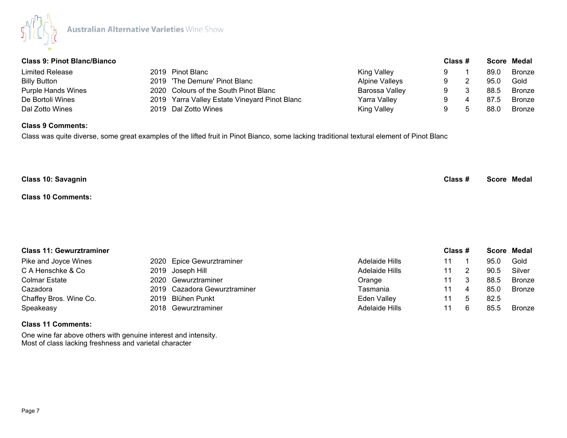

| <b>Class 9: Pinot Blanc/Bianco</b> |                                               |                       | Class # |   |      | Score Medal |
|------------------------------------|-----------------------------------------------|-----------------------|---------|---|------|-------------|
| Limited Release                    | 2019 Pinot Blanc                              | King Valley           |         |   | 89.0 | Bronze      |
| <b>Billy Button</b>                | 2019 'The Demure' Pinot Blanc                 | <b>Alpine Valleys</b> |         |   | 95.0 | Gold        |
| <b>Purple Hands Wines</b>          | 2020 Colours of the South Pinot Blanc         | Barossa Valley        |         |   | 88.5 | Bronze      |
| De Bortoli Wines                   | 2019 Yarra Valley Estate Vineyard Pinot Blanc | Yarra Valley          | 9.      | 4 | 87.5 | Bronze      |
| Dal Zotto Wines                    | 2019 Dal Zotto Wines                          | King Valley           |         |   | 88.0 | Bronze      |

#### **Class 9 Comments:**

Class was quite diverse, some great examples of the lifted fruit in Pinot Bianco, some lacking traditional textural element of Pinot Blanc

| <b>Class 10: Savagnin</b> | Class # | <b>Score Medal</b> |
|---------------------------|---------|--------------------|
| <b>Class 10 Comments:</b> |         |                    |

# **Class 11: Gewurztraminer Class # Score Medal** Pike and Joyce Wines **2020** Epice Gewurztraminer **Adelaide Hills** 11 1 95.0 Gold C A Henschke & Co and the 2019 Joseph Hill Adelaide Hills 2019 11 2 90.5 Silver Colmar Estate **2020** Gewurztraminer **11** Colmar Estate 11 3 88.5 Bronze Cazadora 2019 Cazadora Gewurztraminer Tasmania 11 4 85.0 Bronze Chaffey Bros. Wine Co. 2019 Blühen Punkt Chaffey Bros. Wine Co. 2019 Blühen Punkt Chaffey Eden Valley 11 5 82.5 Speakeasy **2018 Gewurztraminer** 2018 Gewurztraminer Adelaide Hills 11 6 85.5 Bronze

#### **Class 11 Comments:**

One wine far above others with genuine interest and intensity. Most of class lacking freshness and varietal character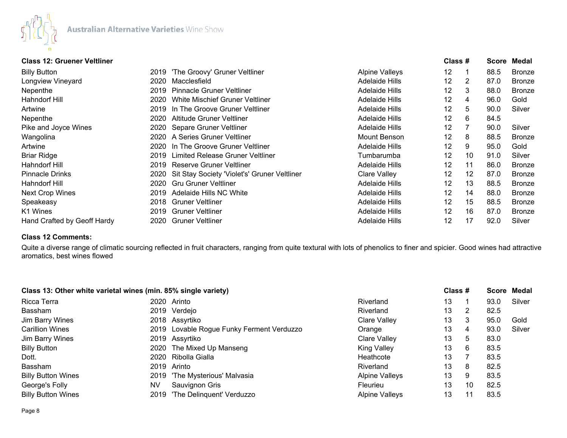

## **Class 12: Gruener Veltliner Class # Score Medal**

| <b>Billy Button</b>         |      | 2019 'The Groovy' Gruner Veltliner           | <b>Alpine Valleys</b> | 12                |    | 88.5 | <b>Bronze</b> |
|-----------------------------|------|----------------------------------------------|-----------------------|-------------------|----|------|---------------|
| Longview Vineyard           | 2020 | Macclesfield                                 | Adelaide Hills        | $12 \overline{ }$ | 2  | 87.0 | <b>Bronze</b> |
| Nepenthe                    | 2019 | <b>Pinnacle Gruner Veltliner</b>             | Adelaide Hills        | 12                | 3  | 88.0 | <b>Bronze</b> |
| <b>Hahndorf Hill</b>        | 2020 | White Mischief Gruner Veltliner              | Adelaide Hills        | 12                | 4  | 96.0 | Gold          |
| Artwine                     |      | 2019 In The Groove Gruner Veltliner          | Adelaide Hills        | $12 \overline{ }$ | 5  | 90.0 | Silver        |
| Nepenthe                    |      | 2020 Altitude Gruner Veltliner               | <b>Adelaide Hills</b> | 12                | 6  | 84.5 |               |
| Pike and Joyce Wines        |      | 2020 Separe Gruner Veltliner                 | Adelaide Hills        | 12                |    | 90.0 | Silver        |
| Wangolina                   |      | 2020 A Series Gruner Veltliner               | <b>Mount Benson</b>   | 12                | 8  | 88.5 | <b>Bronze</b> |
| Artwine                     |      | 2020 In The Groove Gruner Veltliner          | Adelaide Hills        | 12                | 9  | 95.0 | Gold          |
| <b>Briar Ridge</b>          |      | 2019 Limited Release Gruner Veltliner        | Tumbarumba            | 12                | 10 | 91.0 | Silver        |
| Hahndorf Hill               |      | 2019 Reserve Gruner Veltliner                | <b>Adelaide Hills</b> | 12                | 11 | 86.0 | <b>Bronze</b> |
| <b>Pinnacle Drinks</b>      | 2020 | Sit Stay Society 'Violet's' Gruner Veltliner | Clare Valley          | 12                | 12 | 87.0 | <b>Bronze</b> |
| Hahndorf Hill               |      | 2020 Gru Gruner Veltliner                    | <b>Adelaide Hills</b> | 12                | 13 | 88.5 | <b>Bronze</b> |
| <b>Next Crop Wines</b>      | 2019 | Adelaide Hills NC White                      | Adelaide Hills        | 12                | 14 | 88.0 | <b>Bronze</b> |
| Speakeasy                   | 2018 | <b>Gruner Veltliner</b>                      | <b>Adelaide Hills</b> | $12 \overline{ }$ | 15 | 88.5 | <b>Bronze</b> |
| K1 Wines                    | 2019 | <b>Gruner Veltliner</b>                      | <b>Adelaide Hills</b> | 12                | 16 | 87.0 | <b>Bronze</b> |
| Hand Crafted by Geoff Hardy |      | 2020 Gruner Veltliner                        | <b>Adelaide Hills</b> | 12                | 17 | 92.0 | Silver        |

# **Class 12 Comments:**

Quite a diverse range of climatic sourcing reflected in fruit characters, ranging from quite textural with lots of phenolics to finer and spicier. Good wines had attractive aromatics, best wines flowed

| Class 13: Other white varietal wines (min. 85% single variety) |    |                                           |                       | Class # |    |      | Score Medal |
|----------------------------------------------------------------|----|-------------------------------------------|-----------------------|---------|----|------|-------------|
| Ricca Terra                                                    |    | 2020 Arinto                               | Riverland             | 13      |    | 93.0 | Silver      |
| Bassham                                                        |    | 2019 Verdejo                              | Riverland             | 13      | 2  | 82.5 |             |
| Jim Barry Wines                                                |    | 2018 Assyrtiko                            | <b>Clare Valley</b>   | 13      | 3  | 95.0 | Gold        |
| <b>Carillion Wines</b>                                         |    | 2019 Lovable Rogue Funky Ferment Verduzzo | Orange                | 13      | 4  | 93.0 | Silver      |
| Jim Barry Wines                                                |    | 2019 Assyrtiko                            | <b>Clare Valley</b>   | 13      | 5  | 83.0 |             |
| <b>Billy Button</b>                                            |    | 2020 The Mixed Up Manseng                 | <b>King Valley</b>    | 13      | 6  | 83.5 |             |
| Dott.                                                          |    | 2020 Ribolla Gialla                       | Heathcote             | 13      |    | 83.5 |             |
| <b>Bassham</b>                                                 |    | 2019 Arinto                               | Riverland             | 13      | 8  | 82.5 |             |
| <b>Billy Button Wines</b>                                      |    | 2019 'The Mysterious' Malvasia            | <b>Alpine Valleys</b> | 13      | 9  | 83.5 |             |
| George's Folly                                                 | NV | Sauvignon Gris                            | <b>Fleurieu</b>       | 13      | 10 | 82.5 |             |
| <b>Billy Button Wines</b>                                      |    | 2019 'The Delinguent' Verduzzo            | <b>Alpine Valleys</b> | 13      | 11 | 83.5 |             |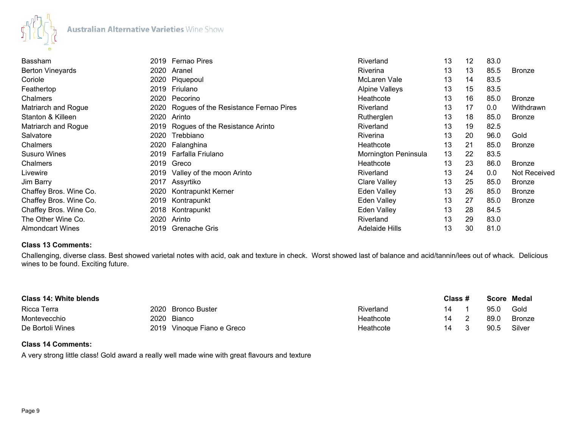

| Bassham                 | 2019 | Fernao Pires                          | Riverland             | 13 | 12 | 83.0 |               |
|-------------------------|------|---------------------------------------|-----------------------|----|----|------|---------------|
| <b>Berton Vineyards</b> | 2020 | Aranel                                | Riverina              | 13 | 13 | 85.5 | <b>Bronze</b> |
| Coriole                 | 2020 | Piquepoul                             | McLaren Vale          | 13 | 14 | 83.5 |               |
| Feathertop              | 2019 | Friulano                              | <b>Alpine Valleys</b> | 13 | 15 | 83.5 |               |
| <b>Chalmers</b>         | 2020 | Pecorino                              | Heathcote             | 13 | 16 | 85.0 | <b>Bronze</b> |
| Matriarch and Rogue     | 2020 | Rogues of the Resistance Fernao Pires | Riverland             | 13 | 17 | 0.0  | Withdrawn     |
| Stanton & Killeen       | 2020 | Arinto                                | Rutherglen            | 13 | 18 | 85.0 | Bronze        |
| Matriarch and Rogue     |      | 2019 Rogues of the Resistance Arinto  | Riverland             | 13 | 19 | 82.5 |               |
| Salvatore               | 2020 | Trebbiano                             | <b>Riverina</b>       | 13 | 20 | 96.0 | Gold          |
| Chalmers                | 2020 | Falanghina                            | Heathcote             | 13 | 21 | 85.0 | <b>Bronze</b> |
| <b>Susuro Wines</b>     | 2019 | Farfalla Friulano                     | Mornington Peninsula  | 13 | 22 | 83.5 |               |
| Chalmers                |      | 2019 Greco                            | Heathcote             | 13 | 23 | 86.0 | <b>Bronze</b> |
| Livewire                | 2019 | Valley of the moon Arinto             | Riverland             | 13 | 24 | 0.0  | Not Received  |
| Jim Barry               |      | 2017 Assyrtiko                        | Clare Valley          | 13 | 25 | 85.0 | <b>Bronze</b> |
| Chaffey Bros. Wine Co.  | 2020 | Kontrapunkt Kerner                    | Eden Valley           | 13 | 26 | 85.0 | <b>Bronze</b> |
| Chaffey Bros. Wine Co.  | 2019 | Kontrapunkt                           | Eden Valley           | 13 | 27 | 85.0 | <b>Bronze</b> |
| Chaffey Bros. Wine Co.  | 2018 | Kontrapunkt                           | Eden Valley           | 13 | 28 | 84.5 |               |
| The Other Wine Co.      | 2020 | Arinto                                | Riverland             | 13 | 29 | 83.0 |               |
| <b>Almondcart Wines</b> |      | 2019 Grenache Gris                    | <b>Adelaide Hills</b> | 13 | 30 | 81.0 |               |

#### **Class 13 Comments:**

Challenging, diverse class. Best showed varietal notes with acid, oak and texture in check. Worst showed last of balance and acid/tannin/lees out of whack. Delicious wines to be found. Exciting future.

| Class 14: White blends |      |                            |           | Class # |  |      | Score Medal |  |
|------------------------|------|----------------------------|-----------|---------|--|------|-------------|--|
| Ricca Terra            |      | 2020 Bronco Buster         | Riverland | 14      |  | 95.0 | Gold        |  |
| Montevecchio           | 2020 | Bianco                     | Heathcote | 14      |  | 89.0 | Bronze      |  |
| De Bortoli Wines       |      | 2019 Vinoque Fiano e Greco | Heathcote | 14      |  | 90.5 | Silver      |  |

# **Class 14 Comments:**

A very strong little class! Gold award a really well made wine with great flavours and texture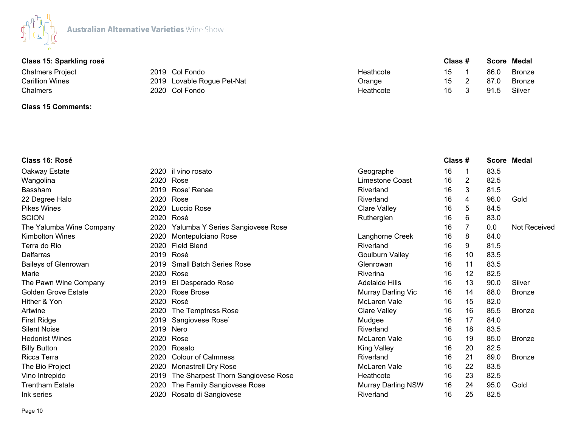

| Class 15: Sparkling rosé |                            |           | Class # |  | Score Medal |               |
|--------------------------|----------------------------|-----------|---------|--|-------------|---------------|
| Chalmers Project         | 2019 Col Fondo             | Heathcote | 15      |  | 86.C        | <b>Bronze</b> |
| Carillion Wines          | 2019 Lovable Rogue Pet-Nat | Orange    | 15      |  | 87.0        | <b>Bronze</b> |
| Chalmers                 | 2020 Col Fondo             | Heathcote | 15      |  | 91.5        | Silver        |

# **Class 15 Comments:**

| Class 16: Rosé              |      |                                    |                           | Class # |    |      | <b>Score Medal</b>  |
|-----------------------------|------|------------------------------------|---------------------------|---------|----|------|---------------------|
| Oakway Estate               | 2020 | il vino rosato                     | Geographe                 | 16      | 1  | 83.5 |                     |
| Wangolina                   | 2020 | Rose                               | Limestone Coast           | 16      | 2  | 82.5 |                     |
| <b>Bassham</b>              | 2019 | Rose' Renae                        | Riverland                 | 16      | 3  | 81.5 |                     |
| 22 Degree Halo              | 2020 | Rose                               | Riverland                 | 16      | 4  | 96.0 | Gold                |
| <b>Pikes Wines</b>          | 2020 | Luccio Rose                        | Clare Valley              | 16      | 5  | 84.5 |                     |
| <b>SCION</b>                | 2020 | Rosé                               | Rutherglen                | 16      | 6  | 83.0 |                     |
| The Yalumba Wine Company    | 2020 | Yalumba Y Series Sangiovese Rose   |                           | 16      |    | 0.0  | <b>Not Received</b> |
| <b>Kimbolton Wines</b>      | 2020 | Montepulciano Rose                 | Langhorne Creek           | 16      | 8  | 84.0 |                     |
| Terra do Rio                | 2020 | <b>Field Blend</b>                 | Riverland                 | 16      | 9  | 81.5 |                     |
| Dalfarras                   | 2019 | Rosé                               | <b>Goulburn Valley</b>    | 16      | 10 | 83.5 |                     |
| <b>Baileys of Glenrowan</b> | 2019 | <b>Small Batch Series Rose</b>     | Glenrowan                 | 16      | 11 | 83.5 |                     |
| Marie                       | 2020 | Rose                               | Riverina                  | 16      | 12 | 82.5 |                     |
| The Pawn Wine Company       | 2019 | El Desperado Rose                  | <b>Adelaide Hills</b>     | 16      | 13 | 90.0 | Silver              |
| <b>Golden Grove Estate</b>  | 2020 | Rose Brose                         | Murray Darling Vic        | 16      | 14 | 88.0 | <b>Bronze</b>       |
| Hither & Yon                | 2020 | Rosé                               | McLaren Vale              | 16      | 15 | 82.0 |                     |
| Artwine                     | 2020 | The Temptress Rose                 | Clare Valley              | 16      | 16 | 85.5 | <b>Bronze</b>       |
| <b>First Ridge</b>          | 2019 | Sangiovese Rose                    | Mudgee                    | 16      | 17 | 84.0 |                     |
| <b>Silent Noise</b>         | 2019 | Nero                               | Riverland                 | 16      | 18 | 83.5 |                     |
| <b>Hedonist Wines</b>       | 2020 | Rose                               | McLaren Vale              | 16      | 19 | 85.0 | <b>Bronze</b>       |
| <b>Billy Button</b>         | 2020 | Rosato                             | <b>King Valley</b>        | 16      | 20 | 82.5 |                     |
| Ricca Terra                 | 2020 | <b>Colour of Calmness</b>          | Riverland                 | 16      | 21 | 89.0 | <b>Bronze</b>       |
| The Bio Project             | 2020 | <b>Monastrell Dry Rose</b>         | McLaren Vale              | 16      | 22 | 83.5 |                     |
| Vino Intrepido              | 2019 | The Sharpest Thorn Sangiovese Rose | Heathcote                 | 16      | 23 | 82.5 |                     |
| <b>Trentham Estate</b>      | 2020 | The Family Sangiovese Rose         | <b>Murray Darling NSW</b> | 16      | 24 | 95.0 | Gold                |
| Ink series                  | 2020 | Rosato di Sangiovese               | Riverland                 | 16      | 25 | 82.5 |                     |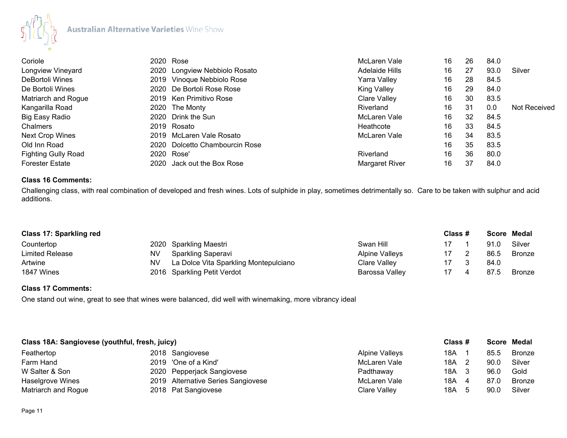

| Coriole                    | 2020 Rose                      | McLaren Vale        | 16 | 26  | 84.0 |                     |
|----------------------------|--------------------------------|---------------------|----|-----|------|---------------------|
| Longview Vineyard          | 2020 Longview Nebbiolo Rosato  | Adelaide Hills      | 16 | 27  | 93.0 | Silver              |
| DeBortoli Wines            | 2019 Vinoque Nebbiolo Rose     | <b>Yarra Valley</b> | 16 | 28  | 84.5 |                     |
| De Bortoli Wines           | 2020 De Bortoli Rose Rose      | <b>King Valley</b>  | 16 | 29  | 84.0 |                     |
| Matriarch and Rogue        | 2019 Ken Primitivo Rose        | Clare Valley        | 16 | 30  | 83.5 |                     |
| Kangarilla Road            | 2020 The Monty                 | Riverland           | 16 | -31 | 0.0  | <b>Not Received</b> |
| Big Easy Radio             | 2020 Drink the Sun             | McLaren Vale        | 16 | 32  | 84.5 |                     |
| Chalmers                   | 2019 Rosato                    | Heathcote           | 16 | 33  | 84.5 |                     |
| <b>Next Crop Wines</b>     | 2019 McLaren Vale Rosato       | McLaren Vale        | 16 | 34  | 83.5 |                     |
| Old Inn Road               | 2020 Dolcetto Chambourcin Rose |                     | 16 | 35  | 83.5 |                     |
| <b>Fighting Gully Road</b> | 2020 Rose'                     | Riverland           | 16 | 36  | 80.0 |                     |
| <b>Forester Estate</b>     | Jack out the Box Rose<br>2020  | Margaret River      | 16 | 37  | 84.0 |                     |

# **Class 16 Comments:**

Challenging class, with real combination of developed and fresh wines. Lots of sulphide in play, sometimes detrimentally so. Care to be taken with sulphur and acid additions.

| Class 17: Sparkling red |    |                                       |                       | Class # | Score Medal |        |
|-------------------------|----|---------------------------------------|-----------------------|---------|-------------|--------|
| Countertop              |    | 2020 Sparkling Maestri                | Swan Hill             |         | 91.0        | Silver |
| <b>Limited Release</b>  | NV | Sparkling Saperavi                    | <b>Alpine Valleys</b> |         | 86.5        | Bronze |
| Artwine                 | NV | La Dolce Vita Sparkling Montepulciano | Clare Valley          |         | 84.0        |        |
| 1847 Wines              |    | 2016 Sparkling Petit Verdot           | Barossa Valley        |         | 87.5        | Bronze |

## **Class 17 Comments:**

One stand out wine, great to see that wines were balanced, did well with winemaking, more vibrancy ideal

| Class 18A: Sangiovese (youthful, fresh, juicy) |                                    |                       | Class # |  | Score Medal |               |
|------------------------------------------------|------------------------------------|-----------------------|---------|--|-------------|---------------|
| Feathertop                                     | 2018 Sangiovese                    | <b>Alpine Valleys</b> | 18A     |  | 85.5        | <b>Bronze</b> |
| Farm Hand                                      | 2019 'One of a Kind'               | McLaren Vale          | 18A 2   |  | 90.C        | Silver        |
| W Salter & Son                                 | 2020 Pepperjack Sangiovese         | Padthaway             | 18A 3   |  | .96.C       | Gold          |
| Haselgrove Wines                               | 2019 Alternative Series Sangiovese | McLaren Vale          | 18A     |  | 87.C        | <b>Bronze</b> |
| Matriarch and Rogue                            | 2018 Pat Sangiovese                | Clare Valley          | 18A     |  | 90.C        | Silver        |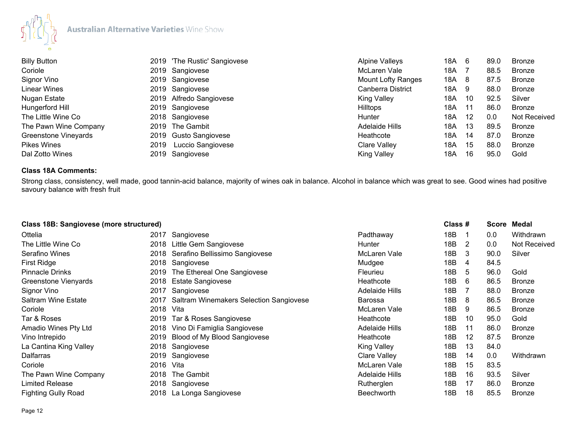

| <b>Billy Button</b>   |      | 2019 'The Rustic' Sangiovese | <b>Alpine Valleys</b> | 18A | 6     | 89.0 | <b>Bronze</b>       |
|-----------------------|------|------------------------------|-----------------------|-----|-------|------|---------------------|
| Coriole               |      | 2019 Sangiovese              | McLaren Vale          | 18A |       | 88.5 | Bronze              |
| Signor Vino           |      | 2019 Sangiovese              | Mount Lofty Ranges    | 18A | -8    | 87.5 | <b>Bronze</b>       |
| Linear Wines          |      | 2019 Sangiovese              | Canberra District     | 18A | -9    | 88.0 | Bronze              |
| Nugan Estate          |      | 2019 Alfredo Sangiovese      | <b>King Valley</b>    | 18A | -10   | 92.5 | Silver              |
| Hungerford Hill       |      | 2019 Sangiovese              | <b>Hilltops</b>       | 18A | $-11$ | 86.0 | <b>Bronze</b>       |
| The Little Wine Co    |      | 2018 Sangiovese              | Hunter                | 18A | 12    | 0.0  | <b>Not Received</b> |
| The Pawn Wine Company |      | 2019 The Gambit              | <b>Adelaide Hills</b> | 18A | 13    | 89.5 | <b>Bronze</b>       |
| Greenstone Vineyards  |      | 2019 Gusto Sangiovese        | Heathcote             | 18A | 14    | 87.0 | <b>Bronze</b>       |
| <b>Pikes Wines</b>    | 2019 | Luccio Sangiovese            | Clare Valley          | 18A | 15    | 88.0 | <b>Bronze</b>       |
| Dal Zotto Wines       |      | 2019 Sangiovese              | <b>King Valley</b>    | 18A | 16    | 95.0 | Gold                |

# **Class 18A Comments:**

Strong class, consistency, well made, good tannin-acid balance, majority of wines oak in balance. Alcohol in balance which was great to see. Good wines had positive savoury balance with fresh fruit

| <b>Class 18B: Sangiovese (more structured)</b> |      |                                                |                    | Class # |    | <b>Score</b> | Medal         |
|------------------------------------------------|------|------------------------------------------------|--------------------|---------|----|--------------|---------------|
| Ottelia                                        | 2017 | Sangiovese                                     | Padthaway          | 18B     |    | 0.0          | Withdrawn     |
| The Little Wine Co                             | 2018 | Little Gem Sangiovese                          | <b>Hunter</b>      | 18B     | 2  | 0.0          | Not Received  |
| Serafino Wines                                 | 2018 | Serafino Bellissimo Sangiovese                 | McLaren Vale       | 18B     | 3  | 90.0         | Silver        |
| First Ridge                                    | 2018 | Sangiovese                                     | Mudgee             | 18B     | 4  | 84.5         |               |
| <b>Pinnacle Drinks</b>                         | 2019 | The Ethereal One Sangiovese                    | <b>Fleurieu</b>    | 18B     | 5  | 96.0         | Gold          |
| Greenstone Vienyards                           | 2018 | <b>Estate Sangiovese</b>                       | Heathcote          | 18B     | 6  | 86.5         | <b>Bronze</b> |
| Signor Vino                                    | 2017 | Sangiovese                                     | Adelaide Hills     | 18B     |    | 88.0         | <b>Bronze</b> |
| <b>Saltram Wine Estate</b>                     | 2017 | <b>Saltram Winemakers Selection Sangiovese</b> | Barossa            | 18B     | 8  | 86.5         | <b>Bronze</b> |
| Coriole                                        | 2018 | Vita                                           | McLaren Vale       | 18B     | 9  | 86.5         | <b>Bronze</b> |
| Tar & Roses                                    | 2019 | Tar & Roses Sangiovese                         | Heathcote          | 18B     | 10 | 95.0         | Gold          |
| Amadio Wines Pty Ltd                           | 2018 | Vino Di Famiglia Sangiovese                    | Adelaide Hills     | 18B     | 11 | 86.0         | <b>Bronze</b> |
| Vino Intrepido                                 | 2019 | Blood of My Blood Sangiovese                   | Heathcote          | 18B     | 12 | 87.5         | <b>Bronze</b> |
| La Cantina King Valley                         |      | 2018 Sangiovese                                | <b>King Valley</b> | 18B     | 13 | 84.0         |               |
| Dalfarras                                      | 2019 | Sangiovese                                     | Clare Valley       | 18B     | 14 | 0.0          | Withdrawn     |
| Coriole                                        | 2016 | Vita                                           | McLaren Vale       | 18B     | 15 | 83.5         |               |
| The Pawn Wine Company                          | 2018 | The Gambit                                     | Adelaide Hills     | 18B     | 16 | 93.5         | Silver        |
| <b>Limited Release</b>                         |      | 2018 Sangiovese                                | Rutherglen         | 18B     | 17 | 86.0         | <b>Bronze</b> |
| <b>Fighting Gully Road</b>                     |      | 2018 La Longa Sangiovese                       | <b>Beechworth</b>  | 18B     | 18 | 85.5         | <b>Bronze</b> |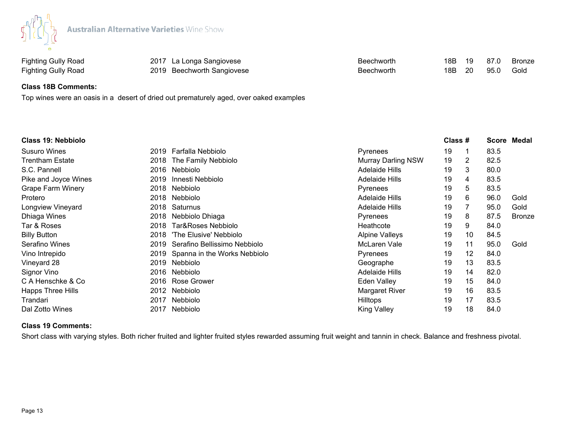

Fighting Gully Road **2019** Beechworth Sangiovese **Beechworth Beechworth** 18B 20 95.0 Gold

Fighting Gully Road **2017** La Longa Sangiovese **Beechworth** 18B 19 87.0 Bronze

## **Class 18B Comments:**

Top wines were an oasis in a desert of dried out prematurely aged, over oaked examples

| <b>Class 19: Nebbiolo</b>    |                                   |                           | Class # |    | <b>Score</b> | Medal  |
|------------------------------|-----------------------------------|---------------------------|---------|----|--------------|--------|
| <b>Susuro Wines</b>          | Farfalla Nebbiolo<br>2019         | Pyrenees                  | 19      |    | 83.5         |        |
| <b>Trentham Estate</b>       | The Family Nebbiolo<br>2018       | <b>Murray Darling NSW</b> | 19      | 2  | 82.5         |        |
| S.C. Pannell                 | 2016<br>Nebbiolo                  | Adelaide Hills            | 19      | 3  | 80.0         |        |
| Pike and Joyce Wines<br>2019 | Innesti Nebbiolo                  | <b>Adelaide Hills</b>     | 19      | 4  | 83.5         |        |
| <b>Grape Farm Winery</b>     | 2018<br>Nebbiolo                  | Pyrenees                  | 19      | 5  | 83.5         |        |
| Protero                      | 2018<br>Nebbiolo                  | <b>Adelaide Hills</b>     | 19      | 6  | 96.0         | Gold   |
| Longview Vineyard            | 2018<br>Saturnus                  | <b>Adelaide Hills</b>     | 19      |    | 95.0         | Gold   |
| Dhiaga Wines                 | Nebbiolo Dhiaga<br>2018           | Pyrenees                  | 19      | 8  | 87.5         | Bronze |
| Tar & Roses<br>2018          | Tar&Roses Nebbiolo                | Heathcote                 | 19      | 9  | 84.0         |        |
| <b>Billy Button</b><br>2018  | 'The Elusive' Nebbiolo            | <b>Alpine Valleys</b>     | 19      | 10 | 84.5         |        |
| Serafino Wines<br>2019       | Serafino Bellissimo Nebbiolo      | McLaren Vale              | 19      | 11 | 95.0         | Gold   |
| Vino Intrepido               | 2019 Spanna in the Works Nebbiolo | Pyrenees                  | 19      | 12 | 84.0         |        |
| Vineyard 28                  | 2019<br>Nebbiolo                  | Geographe                 | 19      | 13 | 83.5         |        |
| Signor Vino                  | 2016<br>Nebbiolo                  | Adelaide Hills            | 19      | 14 | 82.0         |        |
| C A Henschke & Co            | 2016 Rose Grower                  | Eden Valley               | 19      | 15 | 84.0         |        |
| Happs Three Hills            | 2012<br>Nebbiolo                  | Margaret River            | 19      | 16 | 83.5         |        |
| Trandari<br>2017             | Nebbiolo                          | <b>Hilltops</b>           | 19      | 17 | 83.5         |        |
| Dal Zotto Wines<br>2017      | Nebbiolo                          | <b>King Valley</b>        | 19      | 18 | 84.0         |        |

# **Class 19 Comments:**

Short class with varying styles. Both richer fruited and lighter fruited styles rewarded assuming fruit weight and tannin in check. Balance and freshness pivotal.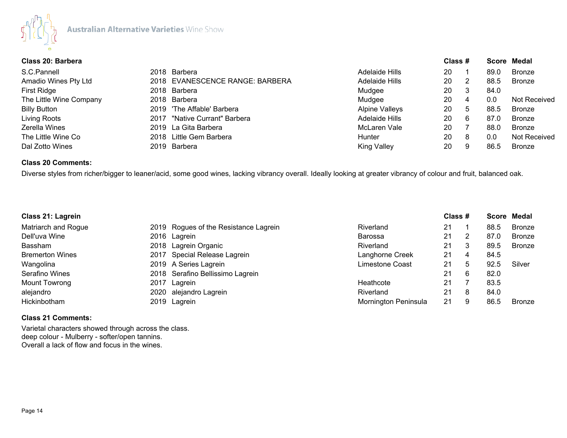

| Class 20: Barbera       |  |                                 |                       |    | Class # |      | Score Medal   |
|-------------------------|--|---------------------------------|-----------------------|----|---------|------|---------------|
| S.C.Pannell             |  | 2018 Barbera                    | Adelaide Hills        | 20 |         | 89.0 | <b>Bronze</b> |
| Amadio Wines Pty Ltd    |  | 2018 EVANESCENCE RANGE: BARBERA | Adelaide Hills        | 20 | 2       | 88.5 | <b>Bronze</b> |
| First Ridge             |  | 2018 Barbera                    | Mudgee                | 20 | 3       | 84.0 |               |
| The Little Wine Company |  | 2018 Barbera                    | Mudgee                | 20 | 4       | 0.0  | Not Received  |
| <b>Billy Button</b>     |  | 2019 'The Affable' Barbera      | <b>Alpine Valleys</b> | 20 | 5       | 88.5 | <b>Bronze</b> |
| Living Roots            |  | 2017 "Native Currant" Barbera   | Adelaide Hills        | 20 | 6       | 87.0 | <b>Bronze</b> |
| Zerella Wines           |  | 2019 La Gita Barbera            | McLaren Vale          | 20 |         | 88.0 | <b>Bronze</b> |
| The Little Wine Co      |  | 2018 Little Gem Barbera         | Hunter                | 20 | 8       | 0.0  | Not Received  |
| Dal Zotto Wines         |  | 2019 Barbera                    | <b>King Valley</b>    | 20 | 9       | 86.5 | Bronze        |

# **Class 20 Comments:**

Diverse styles from richer/bigger to leaner/acid, some good wines, lacking vibrancy overall. Ideally looking at greater vibrancy of colour and fruit, balanced oak.

| Class 21: Lagrein      |  |                                       |                      | Class # |   |      | Score Medal   |  |
|------------------------|--|---------------------------------------|----------------------|---------|---|------|---------------|--|
| Matriarch and Rogue    |  | 2019 Rogues of the Resistance Lagrein | Riverland            | 21      |   | 88.5 | <b>Bronze</b> |  |
| Dell'uva Wine          |  | 2016 Lagrein                          | <b>Barossa</b>       | 21      |   | 87.0 | <b>Bronze</b> |  |
| <b>Bassham</b>         |  | 2018 Lagrein Organic                  | Riverland            | 21      |   | 89.5 | <b>Bronze</b> |  |
| <b>Bremerton Wines</b> |  | 2017 Special Release Lagrein          | Langhorne Creek      | 21      | 4 | 84.5 |               |  |
| Wangolina              |  | 2019 A Series Lagrein                 | Limestone Coast      | 21      | 5 | 92.5 | Silver        |  |
| Serafino Wines         |  | 2018 Serafino Bellissimo Lagrein      |                      | 21      | 6 | 82.0 |               |  |
| Mount Towrong          |  | 2017 Lagrein                          | Heathcote            | 21      |   | 83.5 |               |  |
| alejandro              |  | 2020 alejandro Lagrein                | Riverland            | 21      |   | 84.0 |               |  |
| Hickinbotham           |  | 2019 Lagrein                          | Mornington Peninsula | 21      |   | 86.5 | <b>Bronze</b> |  |

## **Class 21 Comments:**

Varietal characters showed through across the class. deep colour - Mulberry - softer/open tannins. Overall a lack of flow and focus in the wines.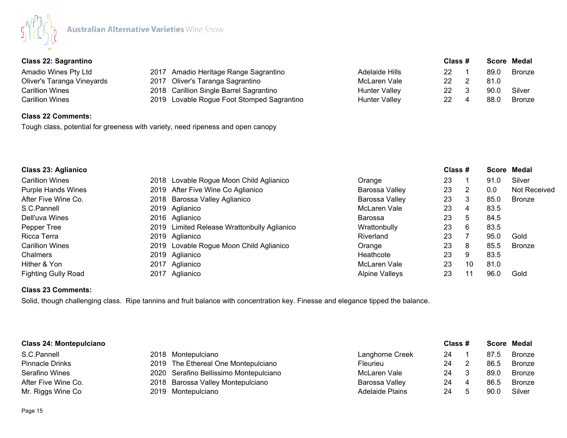

| <b>Class 22: Sagrantino</b><br>Amadio Wines Pty Ltd |                                                                                                                                                                    |    |  |         | Score Medal   |
|-----------------------------------------------------|--------------------------------------------------------------------------------------------------------------------------------------------------------------------|----|--|---------|---------------|
|                                                     | Adelaide Hills                                                                                                                                                     | 22 |  | 89.C    | <b>Bronze</b> |
|                                                     | McLaren Vale                                                                                                                                                       | 22 |  | 81.0    |               |
|                                                     | Hunter Valley                                                                                                                                                      | 22 |  | 90.0    | Silver        |
|                                                     | <b>Hunter Valley</b>                                                                                                                                               | 22 |  | 88.C    | <b>Bronze</b> |
|                                                     | 2017 Amadio Heritage Range Sagrantino<br>2017 Oliver's Taranga Sagrantino<br>2018 Carillion Single Barrel Sagrantino<br>2019 Lovable Rogue Foot Stomped Sagrantino |    |  | Class # |               |

# **Class 22 Comments:**

Tough class, potential for greeness with variety, need ripeness and open canopy

| <b>Class 23: Aglianico</b> |  |                                             |                       | Class # |    |      | Score Medal         |
|----------------------------|--|---------------------------------------------|-----------------------|---------|----|------|---------------------|
| <b>Carillion Wines</b>     |  | 2018 Lovable Rogue Moon Child Aglianico     | Orange                | 23      |    | 91.0 | Silver              |
| <b>Purple Hands Wines</b>  |  | 2019 After Five Wine Co Aglianico           | Barossa Valley        | 23      | 2  | 0.0  | <b>Not Received</b> |
| After Five Wine Co.        |  | 2018 Barossa Valley Aglianico               | Barossa Valley        | 23      | 3  | 85.0 | <b>Bronze</b>       |
| S.C.Pannell                |  | 2019 Aglianico                              | McLaren Vale          | 23      | 4  | 83.5 |                     |
| Dell'uva Wines             |  | 2016 Aglianico                              | Barossa               | 23      | 5  | 84.5 |                     |
| Pepper Tree                |  | 2019 Limited Release Wrattonbully Aglianico | Wrattonbully          | 23      | 6  | 83.5 |                     |
| Ricca Terra                |  | 2019 Aglianico                              | Riverland             | 23      |    | 95.0 | Gold                |
| <b>Carillion Wines</b>     |  | 2019 Lovable Rogue Moon Child Aglianico     | Orange                | 23      | 8  | 85.5 | <b>Bronze</b>       |
| Chalmers                   |  | 2019 Aglianico                              | Heathcote             | 23      | 9  | 83.5 |                     |
| Hither & Yon               |  | 2017 Aglianico                              | McLaren Vale          | 23      | 10 | 81.0 |                     |
| <b>Fighting Gully Road</b> |  | 2017 Aglianico                              | <b>Alpine Valleys</b> | 23      | 11 | 96.0 | Gold                |

# **Class 23 Comments:**

Solid, though challenging class. Ripe tannins and fruit balance with concentration key. Finesse and elegance tipped the balance.

| <b>Class 24: Montepulciano</b> |  |                                        |                        | Class # |      | Score Medal   |  |
|--------------------------------|--|----------------------------------------|------------------------|---------|------|---------------|--|
| S.C.Pannell                    |  | 2018 Montepulciano                     | Langhorne Creek        | 24      | 87.5 | <b>Bronze</b> |  |
| <b>Pinnacle Drinks</b>         |  | 2019 The Ethereal One Montepulciano    | Fleurieu               | 24      | 86.5 | <b>Bronze</b> |  |
| Serafino Wines                 |  | 2020 Serafino Bellissimo Montepulciano | McLaren Vale           | 24      | 89.0 | <b>Bronze</b> |  |
| After Five Wine Co.            |  | 2018 Barossa Valley Montepulciano      | Barossa Valley         | 24      | 86.5 | <b>Bronze</b> |  |
| Mr. Riggs Wine Co              |  | 2019 Montepulciano                     | <b>Adelaide Plains</b> | 24      | 90.0 | Silver        |  |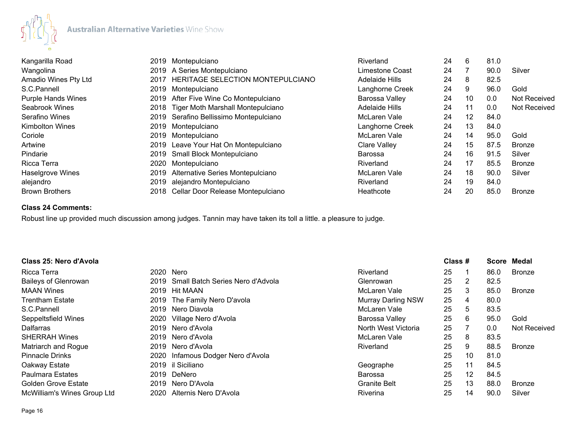

| Kangarilla Road           | 2019 | Montepulciano                          | Riverland             | 24 | 6                 | 81.0 |               |
|---------------------------|------|----------------------------------------|-----------------------|----|-------------------|------|---------------|
| Wangolina                 |      | 2019 A Series Montepulciano            | Limestone Coast       | 24 |                   | 90.0 | Silver        |
| Amadio Wines Pty Ltd      | 2017 | HERITAGE SELECTION MONTEPULCIANO       | <b>Adelaide Hills</b> | 24 | 8                 | 82.5 |               |
| S.C.Pannell               |      | 2019 Montepulciano                     | Langhorne Creek       | 24 | 9                 | 96.0 | Gold          |
| <b>Purple Hands Wines</b> |      | 2019 After Five Wine Co Montepulciano  | Barossa Valley        | 24 | 10                | 0.0  | Not Received  |
| Seabrook Wines            |      | 2018 Tiger Moth Marshall Montepulciano | <b>Adelaide Hills</b> | 24 | 11                | 0.0  | Not Received  |
| Serafino Wines            |      | 2019 Serafino Bellissimo Montepulciano | McLaren Vale          | 24 | $12 \overline{ }$ | 84.0 |               |
| <b>Kimbolton Wines</b>    |      | 2019 Montepulciano                     | Langhorne Creek       | 24 | 13                | 84.0 |               |
| Coriole                   | 2019 | Montepulciano                          | McLaren Vale          | 24 | 14                | 95.0 | Gold          |
| Artwine                   |      | 2019 Leave Your Hat On Montepulciano   | <b>Clare Valley</b>   | 24 | 15                | 87.5 | <b>Bronze</b> |
| Pindarie                  |      | 2019 Small Block Montepulciano         | Barossa               | 24 | 16                | 91.5 | Silver        |
| Ricca Terra               | 2020 | Montepulciano                          | Riverland             | 24 | 17                | 85.5 | <b>Bronze</b> |
| Haselgrove Wines          | 2019 | Alternative Series Montepulciano       | McLaren Vale          | 24 | 18                | 90.0 | Silver        |
| alejandro                 | 2019 | alejandro Montepulciano                | Riverland             | 24 | 19                | 84.0 |               |
| <b>Brown Brothers</b>     |      | 2018 Cellar Door Release Montepulciano | Heathcote             | 24 | 20                | 85.0 | <b>Bronze</b> |

## **Class 24 Comments:**

Robust line up provided much discussion among judges. Tannin may have taken its toll a little. a pleasure to judge.

| Class 25: Nero d'Avola      |      |                                       |                           | Class # |                   | <b>Score</b> | Medal         |
|-----------------------------|------|---------------------------------------|---------------------------|---------|-------------------|--------------|---------------|
| Ricca Terra                 |      | 2020 Nero                             | Riverland                 | 25      |                   | 86.0         | <b>Bronze</b> |
| <b>Baileys of Glenrowan</b> |      | 2019 Small Batch Series Nero d'Advola | Glenrowan                 | 25      | 2                 | 82.5         |               |
| <b>MAAN Wines</b>           |      | 2019 Hit MAAN                         | McLaren Vale              | 25      | 3                 | 85.0         | <b>Bronze</b> |
| <b>Trentham Estate</b>      |      | 2019 The Family Nero D'avola          | <b>Murray Darling NSW</b> | 25      | 4                 | 80.0         |               |
| S.C.Pannell                 |      | 2019 Nero Diavola                     | McLaren Vale              | 25      | 5                 | 83.5         |               |
| Seppeltsfield Wines         |      | 2020 Village Nero d'Avola             | Barossa Valley            | 25      | 6                 | 95.0         | Gold          |
| <b>Dalfarras</b>            |      | 2019 Nero d'Avola                     | North West Victoria       | 25      |                   | 0.0          | Not Received  |
| <b>SHERRAH Wines</b>        |      | 2019 Nero d'Avola                     | McLaren Vale              | 25      | 8                 | 83.5         |               |
| Matriarch and Rogue         |      | 2019 Nero d'Avola                     | Riverland                 | 25      | 9                 | 88.5         | <b>Bronze</b> |
| <b>Pinnacle Drinks</b>      | 2020 | Infamous Dodger Nero d'Avola          |                           | 25      | 10                | 81.0         |               |
| Oakway Estate               |      | 2019 il Siciliano                     | Geographe                 | 25      | 11                | 84.5         |               |
| <b>Paulmara Estates</b>     |      | 2019 DeNero                           | Barossa                   | 25      | $12 \overline{ }$ | 84.5         |               |
| <b>Golden Grove Estate</b>  |      | 2019 Nero D'Avola                     | <b>Granite Belt</b>       | 25      | 13                | 88.0         | <b>Bronze</b> |
| McWilliam's Wines Group Ltd | 2020 | Alternis Nero D'Avola                 | Riverina                  | 25      | 14                | 90.0         | Silver        |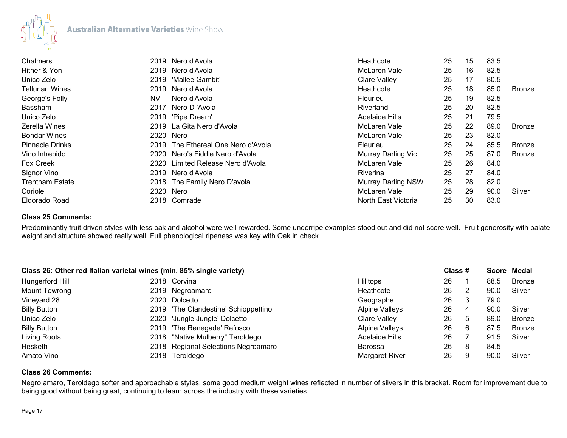

| Chalmers               | 2019      | Nero d'Avola                       | Heathcote                 | 25 | 15 | 83.5 |               |
|------------------------|-----------|------------------------------------|---------------------------|----|----|------|---------------|
| Hither & Yon           |           | 2019 Nero d'Avola                  | McLaren Vale              | 25 | 16 | 82.5 |               |
| Unico Zelo             | 2019      | 'Mallee Gambit'                    | <b>Clare Valley</b>       | 25 | 17 | 80.5 |               |
| <b>Tellurian Wines</b> | 2019      | Nero d'Avola                       | Heathcote                 | 25 | 18 | 85.0 | <b>Bronze</b> |
| George's Folly         | <b>NV</b> | Nero d'Avola                       | Fleurieu                  | 25 | 19 | 82.5 |               |
| Bassham                | 2017      | Nero D'Avola                       | Riverland                 | 25 | 20 | 82.5 |               |
| Unico Zelo             |           | 2019 'Pipe Dream'                  | <b>Adelaide Hills</b>     | 25 | 21 | 79.5 |               |
| Zerella Wines          |           | 2019 La Gita Nero d'Avola          | McLaren Vale              | 25 | 22 | 89.0 | <b>Bronze</b> |
| <b>Bondar Wines</b>    | 2020      | Nero                               | McLaren Vale              | 25 | 23 | 82.0 |               |
| <b>Pinnacle Drinks</b> |           | 2019 The Ethereal One Nero d'Avola | Fleurieu                  | 25 | 24 | 85.5 | <b>Bronze</b> |
| Vino Intrepido         | 2020      | Nero's Fiddle Nero d'Avola         | Murray Darling Vic        | 25 | 25 | 87.0 | <b>Bronze</b> |
| Fox Creek              | 2020      | Limited Release Nero d'Avola       | McLaren Vale              | 25 | 26 | 84.0 |               |
| Signor Vino            |           | 2019 Nero d'Avola                  | <b>Riverina</b>           | 25 | 27 | 84.0 |               |
| <b>Trentham Estate</b> |           | 2018 The Family Nero D'avola       | <b>Murray Darling NSW</b> | 25 | 28 | 82.0 |               |
| Coriole                | 2020      | Nero                               | McLaren Vale              | 25 | 29 | 90.0 | Silver        |
| Eldorado Road          |           | 2018 Comrade                       | North East Victoria       | 25 | 30 | 83.0 |               |

# **Class 25 Comments:**

Predominantly fruit driven styles with less oak and alcohol were well rewarded. Some underripe examples stood out and did not score well. Fruit generosity with palate weight and structure showed really well. Full phenological ripeness was key with Oak in check.

| Class 26: Other red Italian varietal wines (min. 85% single variety) |                                      |                       | Class # |   |      | Score Medal   |
|----------------------------------------------------------------------|--------------------------------------|-----------------------|---------|---|------|---------------|
| Hungerford Hill                                                      | 2018 Corvina                         | <b>Hilltops</b>       | 26      |   | 88.5 | <b>Bronze</b> |
| Mount Towrong                                                        | 2019 Negroamaro                      | Heathcote             | 26      |   | 90.0 | Silver        |
| Vineyard 28                                                          | 2020 Dolcetto                        | Geographe             | 26      |   | 79.0 |               |
| <b>Billy Button</b>                                                  | 2019 'The Clandestine' Schioppettino | <b>Alpine Valleys</b> | 26      |   | 90.0 | Silver        |
| Unico Zelo                                                           | 2020 'Jungle Jungle' Dolcetto        | Clare Valley          | 26      | 5 | 89.0 | <b>Bronze</b> |
| <b>Billy Button</b>                                                  | 2019 'The Renegade' Refosco          | <b>Alpine Valleys</b> | 26      | 6 | 87.5 | <b>Bronze</b> |
| Living Roots                                                         | 2018 "Native Mulberry" Teroldego     | <b>Adelaide Hills</b> | 26      |   | 91.5 | Silver        |
| Hesketh                                                              | 2018 Regional Selections Negroamaro  | Barossa               | 26      | 8 | 84.5 |               |
| Amato Vino                                                           | 2018 Teroldego                       | <b>Margaret River</b> | 26      |   | 90.0 | Silver        |

## **Class 26 Comments:**

Negro amaro, Teroldego softer and approachable styles, some good medium weight wines reflected in number of silvers in this bracket. Room for improvement due to being good without being great, continuing to learn across the industry with these varieties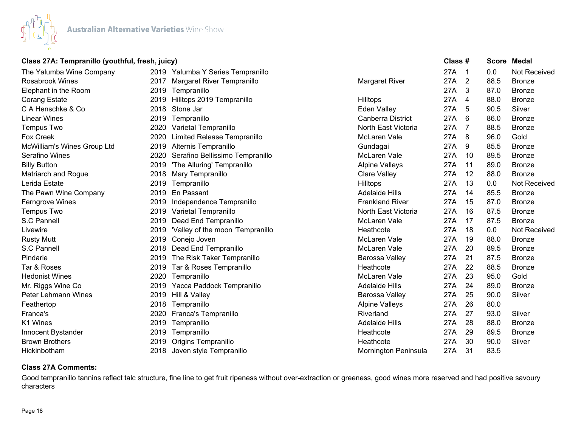

# **Class 27A: Tempranillo (youthful, fresh, juicy) Class # Score Medal**

| The Yalumba Wine Company    |      | 2019 Yalumba Y Series Tempranillo     |                        | 27A | -1 | 0.0  | <b>Not Received</b> |
|-----------------------------|------|---------------------------------------|------------------------|-----|----|------|---------------------|
| <b>Rosabrook Wines</b>      |      | 2017 Margaret River Tempranillo       | <b>Margaret River</b>  | 27A | 2  | 88.5 | <b>Bronze</b>       |
| Elephant in the Room        |      | 2019 Tempranillo                      |                        | 27A | 3  | 87.0 | <b>Bronze</b>       |
| <b>Corang Estate</b>        | 2019 | Hilltops 2019 Tempranillo             | <b>Hilltops</b>        | 27A | 4  | 88.0 | <b>Bronze</b>       |
| C A Henschke & Co           | 2018 | Stone Jar                             | <b>Eden Valley</b>     | 27A | 5  | 90.5 | Silver              |
| <b>Linear Wines</b>         | 2019 | Tempranillo                           | Canberra District      | 27A | 6  | 86.0 | <b>Bronze</b>       |
| Tempus Two                  | 2020 | Varietal Tempranillo                  | North East Victoria    | 27A | 7  | 88.5 | <b>Bronze</b>       |
| <b>Fox Creek</b>            | 2020 | Limited Release Tempranillo           | McLaren Vale           | 27A | 8  | 96.0 | Gold                |
| McWilliam's Wines Group Ltd | 2019 | Alternis Tempranillo                  | Gundagai               | 27A | 9  | 85.5 | <b>Bronze</b>       |
| Serafino Wines              | 2020 | Serafino Bellissimo Tempranillo       | McLaren Vale           | 27A | 10 | 89.5 | <b>Bronze</b>       |
| <b>Billy Button</b>         | 2019 | 'The Alluring' Tempranillo            | <b>Alpine Valleys</b>  | 27A | 11 | 89.0 | <b>Bronze</b>       |
| Matriarch and Rogue         |      | 2018 Mary Tempranillo                 | <b>Clare Valley</b>    | 27A | 12 | 88.0 | <b>Bronze</b>       |
| Lerida Estate               |      | 2019 Tempranillo                      | Hilltops               | 27A | 13 | 0.0  | Not Received        |
| The Pawn Wine Company       | 2019 | En Passant                            | <b>Adelaide Hills</b>  | 27A | 14 | 85.5 | <b>Bronze</b>       |
| Ferngrove Wines             | 2019 | Independence Tempranillo              | <b>Frankland River</b> | 27A | 15 | 87.0 | <b>Bronze</b>       |
| Tempus Two                  | 2019 | Varietal Tempranillo                  | North East Victoria    | 27A | 16 | 87.5 | <b>Bronze</b>       |
| S.C Pannell                 | 2019 | Dead End Tempranillo                  | McLaren Vale           | 27A | 17 | 87.5 | <b>Bronze</b>       |
| Livewire                    |      | 2019 'Valley of the moon 'Tempranillo | Heathcote              | 27A | 18 | 0.0  | Not Received        |
| <b>Rusty Mutt</b>           | 2019 | Conejo Joven                          | McLaren Vale           | 27A | 19 | 88.0 | <b>Bronze</b>       |
| S.C Pannell                 | 2018 | Dead End Tempranillo                  | McLaren Vale           | 27A | 20 | 89.5 | <b>Bronze</b>       |
| Pindarie                    | 2019 | The Risk Taker Tempranillo            | Barossa Valley         | 27A | 21 | 87.5 | <b>Bronze</b>       |
| Tar & Roses                 | 2019 | Tar & Roses Tempranillo               | Heathcote              | 27A | 22 | 88.5 | <b>Bronze</b>       |
| <b>Hedonist Wines</b>       | 2020 | Tempranillo                           | McLaren Vale           | 27A | 23 | 95.0 | Gold                |
| Mr. Riggs Wine Co           |      | 2019 Yacca Paddock Tempranillo        | <b>Adelaide Hills</b>  | 27A | 24 | 89.0 | <b>Bronze</b>       |
| Peter Lehmann Wines         |      | 2019 Hill & Valley                    | Barossa Valley         | 27A | 25 | 90.0 | Silver              |
| Feathertop                  |      | 2018 Tempranillo                      | <b>Alpine Valleys</b>  | 27A | 26 | 80.0 |                     |
| Franca's                    | 2020 | Franca's Tempranillo                  | Riverland              | 27A | 27 | 93.0 | Silver              |
| K1 Wines                    | 2019 | Tempranillo                           | <b>Adelaide Hills</b>  | 27A | 28 | 88.0 | <b>Bronze</b>       |
| Innocent Bystander          | 2019 | Tempranillo                           | Heathcote              | 27A | 29 | 89.5 | <b>Bronze</b>       |
| <b>Brown Brothers</b>       | 2019 | Origins Tempranillo                   | Heathcote              | 27A | 30 | 90.0 | Silver              |
| Hickinbotham                |      | 2018 Joven style Tempranillo          | Mornington Peninsula   | 27A | 31 | 83.5 |                     |

# **Class 27A Comments:**

Good tempranillo tannins reflect talc structure, fine line to get fruit ripeness without over-extraction or greeness, good wines more reserved and had positive savoury characters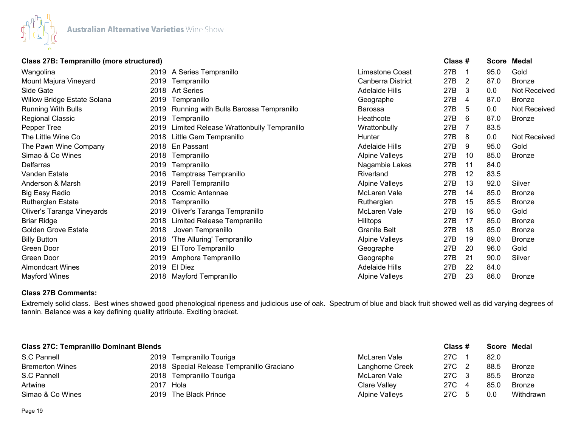

# **Class 27B: Tempranillo (more structured) Class # Score Medal**

| Wangolina                   |      | 2019 A Series Tempranillo                   | Limestone Coast       | 27B | -1 | 95.0 | Gold          |
|-----------------------------|------|---------------------------------------------|-----------------------|-----|----|------|---------------|
| Mount Majura Vineyard       |      | 2019 Tempranillo                            | Canberra District     | 27B | 2  | 87.0 | <b>Bronze</b> |
| Side Gate                   |      | 2018 Art Series                             | Adelaide Hills        | 27B | 3  | 0.0  | Not Received  |
| Willow Bridge Estate Solana |      | 2019 Tempranillo                            | Geographe             | 27B | 4  | 87.0 | Bronze        |
| <b>Running With Bulls</b>   |      | 2019 Running with Bulls Barossa Tempranillo | Barossa               | 27B | 5  | 0.0  | Not Received  |
| Regional Classic            |      | 2019 Tempranillo                            | Heathcote             | 27B | 6  | 87.0 | <b>Bronze</b> |
| Pepper Tree                 | 2019 | Limited Release Wrattonbully Tempranillo    | Wrattonbully          | 27B |    | 83.5 |               |
| The Little Wine Co          | 2018 | Little Gem Tempranillo                      | Hunter                | 27B | 8  | 0.0  | Not Received  |
| The Pawn Wine Company       | 2018 | En Passant                                  | Adelaide Hills        | 27B | 9  | 95.0 | Gold          |
| Simao & Co Wines            | 2018 | Tempranillo                                 | <b>Alpine Valleys</b> | 27B | 10 | 85.0 | <b>Bronze</b> |
| Dalfarras                   |      | 2019 Tempranillo                            | Nagambie Lakes        | 27B | 11 | 84.0 |               |
| Vanden Estate               | 2016 | Temptress Tempranillo                       | Riverland             | 27B | 12 | 83.5 |               |
| Anderson & Marsh            |      | 2019 Parell Tempranillo                     | <b>Alpine Valleys</b> | 27B | 13 | 92.0 | Silver        |
| <b>Big Easy Radio</b>       | 2018 | <b>Cosmic Antennae</b>                      | McLaren Vale          | 27B | 14 | 85.0 | <b>Bronze</b> |
| Rutherglen Estate           | 2018 | Tempranillo                                 | Rutherglen            | 27B | 15 | 85.5 | <b>Bronze</b> |
| Oliver's Taranga Vineyards  |      | 2019 Oliver's Taranga Tempranillo           | McLaren Vale          | 27B | 16 | 95.0 | Gold          |
| <b>Briar Ridge</b>          | 2018 | Limited Release Tempranillo                 | <b>Hilltops</b>       | 27B | 17 | 85.0 | <b>Bronze</b> |
| <b>Golden Grove Estate</b>  | 2018 | Joven Tempranillo                           | <b>Granite Belt</b>   | 27B | 18 | 85.0 | <b>Bronze</b> |
| <b>Billy Button</b>         | 2018 | 'The Alluring' Tempranillo                  | <b>Alpine Valleys</b> | 27B | 19 | 89.0 | <b>Bronze</b> |
| Green Door                  | 2019 | El Toro Tempranillo                         | Geographe             | 27B | 20 | 96.0 | Gold          |
| Green Door                  |      | 2019 Amphora Tempranillo                    | Geographe             | 27B | 21 | 90.0 | Silver        |
| <b>Almondcart Wines</b>     |      | 2019 El Diez                                | <b>Adelaide Hills</b> | 27B | 22 | 84.0 |               |
| <b>Mayford Wines</b>        | 2018 | Mayford Tempranillo                         | <b>Alpine Valleys</b> | 27B | 23 | 86.0 | <b>Bronze</b> |

## **Class 27B Comments:**

Extremely solid class. Best wines showed good phenological ripeness and judicious use of oak. Spectrum of blue and black fruit showed well as did varying degrees of tannin. Balance was a key defining quality attribute. Exciting bracket.

| <b>Class 27C: Tempranillo Dominant Blends</b> |           |                                           |                 | Class # |    |      | Score Medal |
|-----------------------------------------------|-----------|-------------------------------------------|-----------------|---------|----|------|-------------|
| S.C Pannell                                   |           | 2019 Tempranillo Touriga                  | McLaren Vale    | 27C     |    | 82.0 |             |
| <b>Bremerton Wines</b>                        |           | 2018 Special Release Tempranillo Graciano | Langhorne Creek | 27C 2   |    | 88.5 | Bronze      |
| S.C Pannell                                   |           | 2018 Tempranillo Touriga                  | McLaren Vale    | 27C 3   |    | 85.5 | Bronze      |
| Artwine                                       | 2017 Hola |                                           | Clare Valley    | 27C     |    | 85.C | Bronze      |
| Simao & Co Wines                              |           | 2019 The Black Prince                     | Alpine Valleys  | 27C     | -5 | 0.0  | Withdrawn   |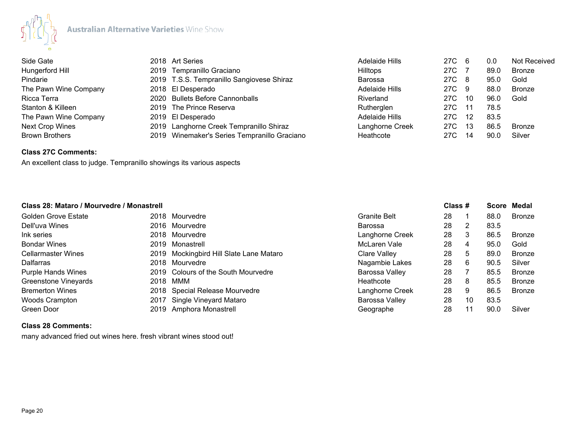

| Side Gate              | 2018 Art Series                              | Adelaide Hills  | 27C 6 |      | 0.0  | <b>Not Received</b> |
|------------------------|----------------------------------------------|-----------------|-------|------|------|---------------------|
| Hungerford Hill        | 2019 Tempranillo Graciano                    | <b>Hilltops</b> | 27C   |      | 89.0 | <b>Bronze</b>       |
| Pindarie               | 2019 T.S.S. Tempranillo Sangiovese Shiraz    | Barossa         | 27C 8 |      | 95.0 | Gold                |
| The Pawn Wine Company  | 2018 El Desperado                            | Adelaide Hills  | 27C 9 |      | 88.0 | <b>Bronze</b>       |
| Ricca Terra            | 2020 Bullets Before Cannonballs              | Riverland       | 27C   | -10  | 96.0 | Gold                |
| Stanton & Killeen      | 2019 The Prince Reserva                      | Rutherglen      | 27C   | - 11 | 78.5 |                     |
| The Pawn Wine Company  | 2019 El Desperado                            | Adelaide Hills  | 27C   | -12  | 83.5 |                     |
| <b>Next Crop Wines</b> | 2019 Langhorne Creek Tempranillo Shiraz      | Langhorne Creek | 27C   | - 13 | 86.5 | <b>Bronze</b>       |
| <b>Brown Brothers</b>  | 2019 Winemaker's Series Tempranillo Graciano | Heathcote       | 27C   | 14   | 90.0 | Silver              |

# **Class 27C Comments:**

An excellent class to judge. Tempranillo showings its various aspects

| Class 28: Mataro / Mourvedre / Monastrell |                                         |                     | Class # |    |      | Score Medal   |
|-------------------------------------------|-----------------------------------------|---------------------|---------|----|------|---------------|
| <b>Golden Grove Estate</b>                | 2018 Mourvedre                          | <b>Granite Belt</b> | 28      |    | 88.0 | <b>Bronze</b> |
| Dell'uva Wines                            | 2016 Mourvedre                          | <b>Barossa</b>      | 28      | 2  | 83.5 |               |
| Ink series                                | 2018 Mourvedre                          | Langhorne Creek     | 28      | 3  | 86.5 | Bronze        |
| <b>Bondar Wines</b>                       | 2019 Monastrell                         | McLaren Vale        | 28      | 4  | 95.0 | Gold          |
| <b>Cellarmaster Wines</b>                 | 2019 Mockingbird Hill Slate Lane Mataro | Clare Valley        | 28      | 5  | 89.0 | Bronze        |
| Dalfarras                                 | 2018 Mourvedre                          | Nagambie Lakes      | 28      | 6  | 90.5 | Silver        |
| <b>Purple Hands Wines</b>                 | 2019 Colours of the South Mourvedre     | Barossa Valley      | 28      |    | 85.5 | <b>Bronze</b> |
| Greenstone Vineyards                      | 2018 MMM                                | Heathcote           | 28      | 8  | 85.5 | <b>Bronze</b> |
| <b>Bremerton Wines</b>                    | 2018 Special Release Mourvedre          | Langhorne Creek     | 28      | 9  | 86.5 | Bronze        |
| <b>Woods Crampton</b>                     | 2017 Single Vineyard Mataro             | Barossa Valley      | 28      | 10 | 83.5 |               |
| Green Door                                | 2019 Amphora Monastrell                 | Geographe           | 28      |    | 90.0 | Silver        |

## **Class 28 Comments:**

many advanced fried out wines here. fresh vibrant wines stood out!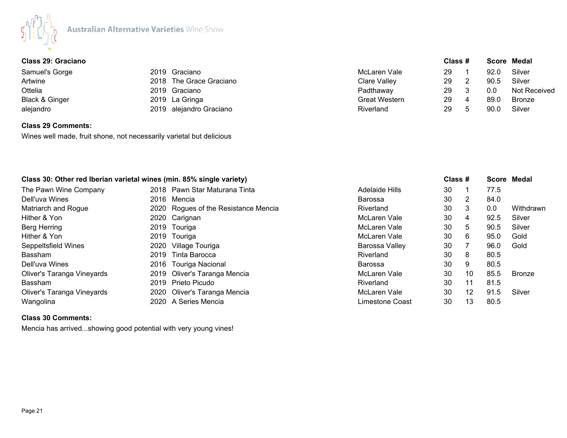

# **Class 29: Graciano Class # Score Medal**

| Samuel's Gorge<br>Artwine<br>Ottelia<br>Black & Ginger | 2019 Graciano<br>2018 The Grace Graciano<br>2019 Graciano<br>2019 La Gringa | McLaren Vale<br>Clare Valley<br>Padthaway<br><b>Great Western</b> | 29<br>29<br>29<br>29 | h | 92.0<br>90.5<br>0.0<br>89.0 | Silver<br>Silver<br>Not Received<br><b>Bronze</b> |
|--------------------------------------------------------|-----------------------------------------------------------------------------|-------------------------------------------------------------------|----------------------|---|-----------------------------|---------------------------------------------------|
| alejandro                                              | 2019 alejandro Graciano                                                     | Riverland                                                         | 29                   |   | 90.0                        | Silver                                            |
|                                                        |                                                                             |                                                                   |                      |   |                             |                                                   |

# **Class 29 Comments:**

Wines well made, fruit shone, not necessarily varietal but delicious

|                            | Class 30: Other red Iberian varietal wines (min. 85% single variety) |                                      | Class #          |    |                   | Score Medal |               |
|----------------------------|----------------------------------------------------------------------|--------------------------------------|------------------|----|-------------------|-------------|---------------|
| The Pawn Wine Company      |                                                                      | 2018 Pawn Star Maturana Tinta        | Adelaide Hills   | 30 |                   | 77.5        |               |
| Dell'uva Wines             |                                                                      | 2016 Mencia                          | Barossa          | 30 | 2                 | 84.0        |               |
| Matriarch and Rogue        |                                                                      | 2020 Rogues of the Resistance Mencia | Riverland        | 30 | 3                 | 0.0         | Withdrawn     |
| Hither & Yon               |                                                                      | 2020 Carignan                        | McLaren Vale     | 30 | 4                 | 92.5        | Silver        |
| Berg Herring               |                                                                      | 2019 Touriga                         | McLaren Vale     | 30 | 5                 | 90.5        | Silver        |
| Hither & Yon               |                                                                      | 2019 Touriga                         | McLaren Vale     | 30 | 6                 | 95.0        | Gold          |
| Seppeltsfield Wines        |                                                                      | 2020 Village Touriga                 | Barossa Valley   | 30 |                   | 96.0        | Gold          |
| Bassham                    | 2019                                                                 | Tinta Barocca                        | <b>Riverland</b> | 30 | 8                 | 80.5        |               |
| Dell'uva Wines             |                                                                      | 2016 Touriga Nacional                | Barossa          | 30 | 9                 | 80.5        |               |
| Oliver's Taranga Vineyards |                                                                      | 2019 Oliver's Taranga Mencia         | McLaren Vale     | 30 | 10 <sup>°</sup>   | 85.5        | <b>Bronze</b> |
| <b>Bassham</b>             |                                                                      | 2019 Prieto Picudo                   | Riverland        | 30 | 11                | 81.5        |               |
| Oliver's Taranga Vineyards |                                                                      | 2020 Oliver's Taranga Mencia         | McLaren Vale     | 30 | $12 \overline{ }$ | 91.5        | Silver        |
| Wangolina                  |                                                                      | 2020 A Series Mencia                 | Limestone Coast  | 30 | 13                | 80.5        |               |

## **Class 30 Comments:**

Mencia has arrived...showing good potential with very young vines!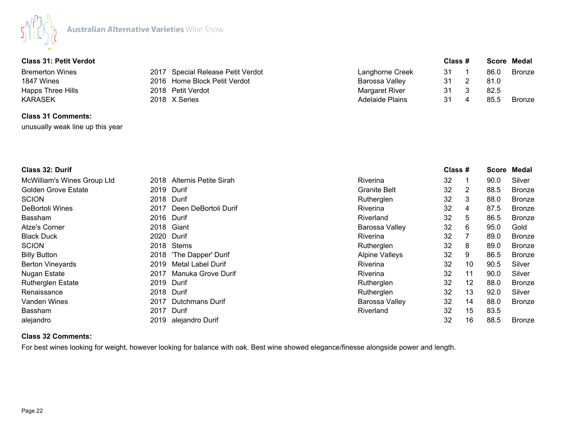

# **Class 31: Petit Verdot Class # Score Medal**

| <b>Bremerton Wines</b><br>1847 Wines | 2017 Special Release Petit Verdot<br>2016 Home Block Petit Verdot | Langhorne Creek<br>Barossa Valley | -31<br>-31 | 86.0<br>81.0 | Bronze |
|--------------------------------------|-------------------------------------------------------------------|-----------------------------------|------------|--------------|--------|
| Happs Three Hills                    | 2018 Petit Verdot                                                 | Margaret River                    | 31         | 82.5         |        |
| <b>KARASEK</b>                       | 2018 X Series                                                     | <b>Adelaide Plains</b>            | 31         | 85.5         | Bronze |

# **Class 31 Comments:** unusually weak line up this year

| Class 32: Durif             |      |                       |                       | Class # |    | Score | Medal         |
|-----------------------------|------|-----------------------|-----------------------|---------|----|-------|---------------|
| McWilliam's Wines Group Ltd | 2018 | Alternis Petite Sirah | <b>Riverina</b>       | 32      |    | 90.0  | Silver        |
| <b>Golden Grove Estate</b>  | 2019 | Durif                 | <b>Granite Belt</b>   | 32      |    | 88.5  | <b>Bronze</b> |
| <b>SCION</b>                |      | 2018 Durif            | Rutherglen            | 32      | 3  | 88.0  | <b>Bronze</b> |
| DeBortoli Wines             | 2017 | Deen DeBortoli Durif  | Riverina              | 32      | 4  | 87.5  | <b>Bronze</b> |
| <b>Bassham</b>              |      | 2016 Durif            | Riverland             | 32      | 5  | 86.5  | <b>Bronze</b> |
| Atze's Corner               | 2018 | Giant                 | Barossa Valley        | 32      | 6  | 95.0  | Gold          |
| <b>Black Duck</b>           |      | 2020 Durif            | Riverina              | 32      |    | 89.0  | <b>Bronze</b> |
| <b>SCION</b>                |      | 2018 Stems            | Rutherglen            | 32      | 8  | 89.0  | <b>Bronze</b> |
| <b>Billy Button</b>         | 2018 | 'The Dapper' Durif    | <b>Alpine Valleys</b> | 32      | 9  | 86.5  | <b>Bronze</b> |
| <b>Berton Vineyards</b>     | 2019 | Metal Label Durif     | Riverina              | 32      | 10 | 90.5  | Silver        |
| Nugan Estate                | 2017 | Manuka Grove Durif    | Riverina              | 32      | 11 | 90.0  | Silver        |
| <b>Rutherglen Estate</b>    |      | 2019 Durif            | Rutherglen            | 32      | 12 | 88.0  | <b>Bronze</b> |
| Renaissance                 |      | 2018 Durif            | Rutherglen            | 32      | 13 | 92.0  | Silver        |
| Vanden Wines                | 2017 | Dutchmans Durif       | Barossa Valley        | 32      | 14 | 88.0  | <b>Bronze</b> |
| <b>Bassham</b>              | 2017 | Durif                 | Riverland             | 32      | 15 | 83.5  |               |
| alejandro                   |      | 2019 alejandro Durif  |                       | 32      | 16 | 88.5  | <b>Bronze</b> |

## **Class 32 Comments:**

For best wines looking for weight, however looking for balance with oak. Best wine showed elegance/finesse alongside power and length.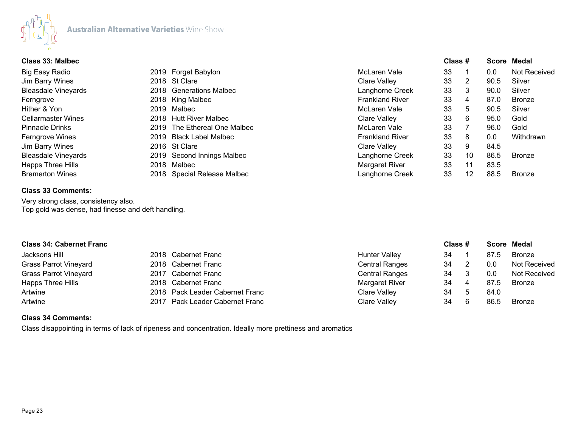

| <b>Class 33: Malbec</b>    |      |                              |                        | Class # |    |      | <b>Score Medal</b> |
|----------------------------|------|------------------------------|------------------------|---------|----|------|--------------------|
| Big Easy Radio             |      | 2019 Forget Babylon          | McLaren Vale           | 33      |    | 0.0  | Not Received       |
| Jim Barry Wines            |      | 2018 St Clare                | Clare Valley           | 33      | 2  | 90.5 | Silver             |
| <b>Bleasdale Vineyards</b> |      | 2018 Generations Malbec      | Langhorne Creek        | 33      | 3  | 90.0 | Silver             |
| Ferngrove                  |      | 2018 King Malbec             | <b>Frankland River</b> | 33      | 4  | 87.0 | <b>Bronze</b>      |
| Hither & Yon               |      | 2019 Malbec                  | McLaren Vale           | 33      | 5  | 90.5 | Silver             |
| Cellarmaster Wines         | 2018 | Hutt River Malbec            | Clare Valley           | 33      | 6  | 95.0 | Gold               |
| Pinnacle Drinks            |      | 2019 The Ethereal One Malbec | McLaren Vale           | 33      |    | 96.0 | Gold               |
| Ferngrove Wines            | 2019 | Black Label Malbec           | <b>Frankland River</b> | 33      | 8  | 0.0  | Withdrawn          |
| Jim Barry Wines            |      | 2016 St Clare                | Clare Valley           | 33      | 9  | 84.5 |                    |
| <b>Bleasdale Vineyards</b> |      | 2019 Second Innings Malbec   | Langhorne Creek        | 33      | 10 | 86.5 | <b>Bronze</b>      |
| <b>Happs Three Hills</b>   | 2018 | Malbec                       | Margaret River         | 33      | 11 | 83.5 |                    |
| <b>Bremerton Wines</b>     |      | 2018 Special Release Malbec  | Langhorne Creek        | 33      | 12 | 88.5 | <b>Bronze</b>      |
|                            |      |                              |                        |         |    |      |                    |

# **Class 33 Comments:**

Very strong class, consistency also. Top gold was dense, had finesse and deft handling.

| <b>Class 34: Cabernet Franc</b> |                                 |                       | Class # |   |      | Score Medal         |
|---------------------------------|---------------------------------|-----------------------|---------|---|------|---------------------|
| Jacksons Hill                   | 2018 Cabernet Franc             | <b>Hunter Valley</b>  | 34      |   | 87.5 | <b>Bronze</b>       |
| <b>Grass Parrot Vineyard</b>    | 2018 Cabernet Franc             | <b>Central Ranges</b> | 34      |   | 0.0  | <b>Not Received</b> |
| <b>Grass Parrot Vineyard</b>    | 2017 Cabernet Franc             | <b>Central Ranges</b> | 34      |   | 0.0  | <b>Not Received</b> |
| Happs Three Hills               | 2018 Cabernet Franc             | Margaret River        | 34      | 4 | 87.5 | <b>Bronze</b>       |
| Artwine                         | 2018 Pack Leader Cabernet Franc | Clare Valley          | 34      |   | 84.0 |                     |
| Artwine                         | 2017 Pack Leader Cabernet Franc | Clare Valley          | 34      |   | 86.5 | <b>Bronze</b>       |

## **Class 34 Comments:**

Class disappointing in terms of lack of ripeness and concentration. Ideally more prettiness and aromatics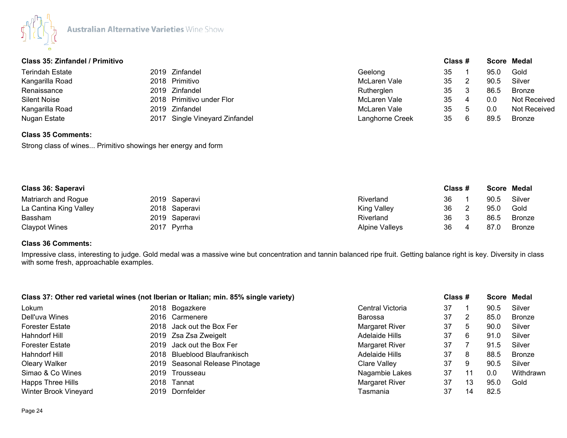

| Class 35: Zinfandel / Primitivo |                                   |                 | Class # |    |      | Score Medal   |
|---------------------------------|-----------------------------------|-----------------|---------|----|------|---------------|
| <b>Terindah Estate</b>          | 2019 Zinfandel                    | Geelong         | 35      |    | 95.0 | Gold          |
| Kangarilla Road                 | 2018 Primitivo                    | McLaren Vale    | 35      |    | 90.5 | Silver        |
| Renaissance                     | 2019 Zinfandel                    | Rutherglen      | 35      | -3 | 86.5 | <b>Bronze</b> |
| <b>Silent Noise</b>             | 2018 Primitivo under Flor         | McLaren Vale    | 35      |    | 0.0  | Not Received  |
| Kangarilla Road                 | 2019 Zinfandel                    | McLaren Vale    | 35      |    | 0.0  | Not Received  |
| Nugan Estate                    | Single Vineyard Zinfandel<br>2017 | Langhorne Creek | 35      | 6  | 89.5 | Bronze        |

# **Class 35 Comments:**

Strong class of wines... Primitivo showings her energy and form

| Class 36: Saperavi     |  |               | Class #               |    | Score Medal |        |
|------------------------|--|---------------|-----------------------|----|-------------|--------|
| Matriarch and Rogue    |  | 2019 Saperavi | Riverland             | 36 | 90.5        | Silver |
| La Cantina King Valley |  | 2018 Saperavi | <b>King Valley</b>    | 36 | 95.0        | Gold   |
| Bassham                |  | 2019 Saperavi | Riverland             | 36 | 86.5        | Bronze |
| <b>Claypot Wines</b>   |  | 2017 Pyrrha   | <b>Alpine Valleys</b> | 36 | 87.0        | Bronze |

# **Class 36 Comments:**

Impressive class, interesting to judge. Gold medal was a massive wine but concentration and tannin balanced ripe fruit. Getting balance right is key. Diversity in class with some fresh, approachable examples.

| Class 37: Other red varietal wines (not Iberian or Italian; min. 85% single variety) |  |                                |                  | Class # |    | Score Medal |           |
|--------------------------------------------------------------------------------------|--|--------------------------------|------------------|---------|----|-------------|-----------|
| Lokum                                                                                |  | 2018 Bogazkere                 | Central Victoria | 37      |    | 90.5        | Silver    |
| Dell'uva Wines                                                                       |  | 2016 Carmenere                 | Barossa          | 37      | 2  | 85.0        | Bronze    |
| <b>Forester Estate</b>                                                               |  | 2018 Jack out the Box Fer      | Margaret River   | 37      | -5 | 90.0        | Silver    |
| Hahndorf Hill                                                                        |  | 2019 Zsa Zsa Zweigelt          | Adelaide Hills   | 37      | 6  | 91.0        | Silver    |
| <b>Forester Estate</b>                                                               |  | 2019 Jack out the Box Fer      | Margaret River   | 37      |    | 91.5        | Silver    |
| Hahndorf Hill                                                                        |  | 2018 Blueblood Blaufrankisch   | Adelaide Hills   | 37      | 8  | 88.5        | Bronze    |
| Oleary Walker                                                                        |  | 2019 Seasonal Release Pinotage | Clare Valley     | 37      | 9  | 90.5        | Silver    |
| Simao & Co Wines                                                                     |  | 2019 Trousseau                 | Nagambie Lakes   | 37      | 11 | 0.0         | Withdrawn |
| Happs Three Hills                                                                    |  | 2018 Tannat                    | Margaret River   | 37      | 13 | 95.0        | Gold      |
| Winter Brook Vineyard                                                                |  | 2019 Dornfelder                | Tasmania         | 37      | 14 | 82.5        |           |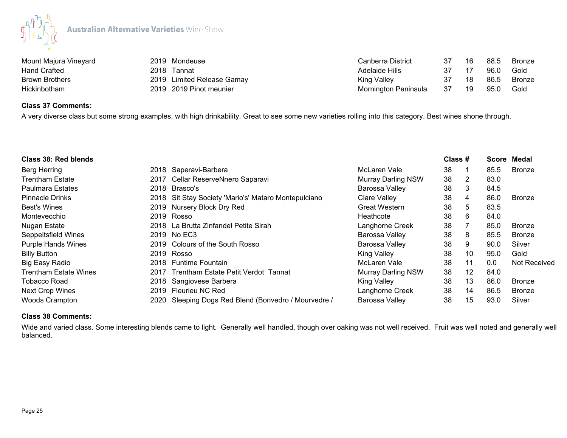

| Mount Majura Vineyard |      | 2019 Mondeuse              | Canberra District    | 37  | 16 | 88.5 | Bronze |
|-----------------------|------|----------------------------|----------------------|-----|----|------|--------|
| <b>Hand Crafted</b>   | 2018 | Tannat                     | Adelaide Hills       |     |    | 96.0 | Gold   |
| <b>Brown Brothers</b> |      | 2019 Limited Release Gamay | King Valley          |     | 18 | 86.5 | Bronze |
| Hickinbotham          |      | 2019 2019 Pinot meunier    | Mornington Peninsula | -37 | 19 | 95.0 | Gold   |

# **Class 37 Comments:**

A very diverse class but some strong examples, with high drinkability. Great to see some new varieties rolling into this category. Best wines shone through.

| Class 38: Red blends      |      |                                                      |                           | Class # |                 |      | Score Medal   |
|---------------------------|------|------------------------------------------------------|---------------------------|---------|-----------------|------|---------------|
| <b>Berg Herring</b>       |      | 2018 Saperavi-Barbera                                | McLaren Vale              | 38      |                 | 85.5 | <b>Bronze</b> |
| Trentham Estate           |      | 2017 Cellar ReserveNnero Saparavi                    | <b>Murray Darling NSW</b> | 38      | 2               | 83.0 |               |
| <b>Paulmara Estates</b>   |      | 2018 Brasco's                                        | Barossa Valley            | 38      | 3               | 84.5 |               |
| <b>Pinnacle Drinks</b>    |      | 2018 Sit Stay Society 'Mario's' Mataro Montepulciano | Clare Valley              | 38      | 4               | 86.0 | <b>Bronze</b> |
| <b>Best's Wines</b>       |      | 2019 Nursery Block Dry Red                           | <b>Great Western</b>      | 38      | 5               | 83.5 |               |
| Montevecchio              |      | 2019 Rosso                                           | Heathcote                 | 38      | 6               | 84.0 |               |
| Nugan Estate              |      | 2018 La Brutta Zinfandel Petite Sirah                | Langhorne Creek           | 38      |                 | 85.0 | <b>Bronze</b> |
| Seppeltsfield Wines       |      | 2019 No EC3                                          | Barossa Valley            | 38      | 8               | 85.5 | <b>Bronze</b> |
| <b>Purple Hands Wines</b> |      | 2019 Colours of the South Rosso                      | Barossa Valley            | 38      | 9               | 90.0 | Silver        |
| <b>Billy Button</b>       |      | 2019 Rosso                                           | <b>King Valley</b>        | 38      | 10 <sup>°</sup> | 95.0 | Gold          |
| <b>Big Easy Radio</b>     |      | 2018 Funtime Fountain                                | McLaren Vale              | 38      | 11              | 0.0  | Not Received  |
| Trentham Estate Wines     | 2017 | Trentham Estate Petit Verdot Tannat                  | <b>Murray Darling NSW</b> | 38      | 12 <sup>°</sup> | 84.0 |               |
| Tobacco Road              |      | 2018 Sangiovese Barbera                              | <b>King Valley</b>        | 38      | 13              | 86.0 | <b>Bronze</b> |
| <b>Next Crop Wines</b>    | 2019 | Fleurieu NC Red                                      | Langhorne Creek           | 38      | 14              | 86.5 | <b>Bronze</b> |
| <b>Woods Crampton</b>     | 2020 | Sleeping Dogs Red Blend (Bonvedro / Mourvedre /      | Barossa Valley            | 38      | 15              | 93.0 | Silver        |

## **Class 38 Comments:**

Wide and varied class. Some interesting blends came to light. Generally well handled, though over oaking was not well received. Fruit was well noted and generally well balanced.